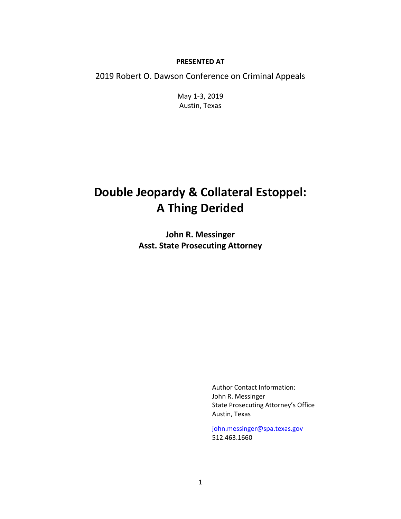#### **PRESENTED AT**

2019 Robert O. Dawson Conference on Criminal Appeals

May 1-3, 2019 Austin, Texas

# **Double Jeopardy & Collateral Estoppel: A Thing Derided**

**John R. Messinger Asst. State Prosecuting Attorney**

> Author Contact Information: John R. Messinger State Prosecuting Attorney's Office Austin, Texas

[john.messinger@spa.texas.gov](mailto:john.messinger@spa.texas.gov) 512.463.1660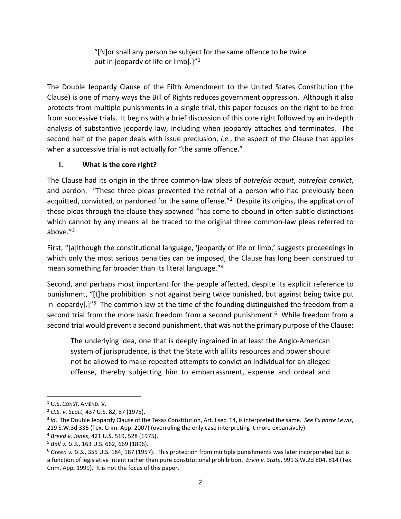"[N]or shall any person be subject for the same offence to be twice put in jeopardy of life or limb[.]"<sup>[1](#page-1-0)</sup>

The Double Jeopardy Clause of the Fifth Amendment to the United States Constitution (the Clause) is one of many ways the Bill of Rights reduces government oppression. Although it also protects from multiple punishments in a single trial, this paper focuses on the right to be free from successive trials. It begins with a brief discussion of this core right followed by an in-depth analysis of substantive jeopardy law, including when jeopardy attaches and terminates. The second half of the paper deals with issue preclusion, *i.e.*, the aspect of the Clause that applies when a successive trial is not actually for "the same offence."

# **I. What is the core right?**

The Clause had its origin in the three common-law pleas of *autrefois acquit*, *autrefois convict*, and pardon. "These three pleas prevented the retrial of a person who had previously been acquitted, convicted, or pardoned for the same offense."<sup>[2](#page-1-1)</sup> Despite its origins, the application of these pleas through the clause they spawned "has come to abound in often subtle distinctions which cannot by any means all be traced to the original three common-law pleas referred to above."[3](#page-1-2)

First, "[a]lthough the constitutional language, 'jeopardy of life or limb,' suggests proceedings in which only the most serious penalties can be imposed, the Clause has long been construed to mean something far broader than its literal language."[4](#page-1-3)

Second, and perhaps most important for the people affected, despite its explicit reference to punishment, "[t]he prohibition is not against being twice punished, but against being twice put in jeopardy[.]"<sup>[5](#page-1-4)</sup> The common law at the time of the founding distinguished the freedom from a second trial from the more basic freedom from a second punishment.<sup>[6](#page-1-5)</sup> While freedom from a second trial would prevent a second punishment, that was not the primary purpose of the Clause:

The underlying idea, one that is deeply ingrained in at least the Anglo-American system of jurisprudence, is that the State with all its resources and power should not be allowed to make repeated attempts to convict an individual for an alleged offense, thereby subjecting him to embarrassment, expense and ordeal and

<span id="page-1-1"></span><span id="page-1-0"></span><sup>1</sup> U.S. CONST. AMEND. V. 2 *U.S. v. Scott*, 437 U.S. 82, 87 (1978).

<span id="page-1-2"></span><sup>3</sup> *Id*. The Double Jeopardy Clause of the Texas Constitution, Art. I sec. 14, is interpreted the same. *See Ex parte Lewis*, 219 S.W.3d 335 (Tex. Crim. App. 2007) (overruling the only case interpreting it more expansively).

<span id="page-1-3"></span><sup>4</sup> *Breed v. Jones*, 421 U.S. 519, 528 (1975).

<span id="page-1-4"></span><sup>5</sup> *Ball v. U.S.*, 163 U.S. 662, 669 (1896).

<span id="page-1-5"></span><sup>6</sup> *Green v. U.S.*, 355 U.S. 184, 187 (1957). This protection from multiple punishments was later incorporated but is a function of legislative intent rather than pure constitutional prohibition. *Ervin v. State*, 991 S.W.2d 804, 814 (Tex. Crim. App. 1999). It is not the focus of this paper.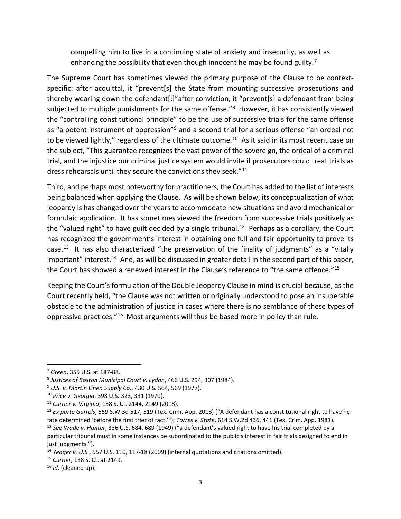compelling him to live in a continuing state of anxiety and insecurity, as well as enhancing the possibility that even though innocent he may be found guilty.<sup>7</sup>

The Supreme Court has sometimes viewed the primary purpose of the Clause to be contextspecific: after acquittal, it "prevent[s] the State from mounting successive prosecutions and thereby wearing down the defendant[;]"after conviction, it "prevent[s] a defendant from being subjected to multiple punishments for the same offense.<sup>"[8](#page-2-1)</sup> However, it has consistently viewed the "controlling constitutional principle" to be the use of successive trials for the same offense as "a potent instrument of oppression"<sup>[9](#page-2-2)</sup> and a second trial for a serious offense "an ordeal not to be viewed lightly," regardless of the ultimate outcome.<sup>[10](#page-2-3)</sup> As it said in its most recent case on the subject, "This guarantee recognizes the vast power of the sovereign, the ordeal of a criminal trial, and the injustice our criminal justice system would invite if prosecutors could treat trials as dress rehearsals until they secure the convictions they seek."<sup>[11](#page-2-4)</sup>

Third, and perhaps most noteworthy for practitioners, the Court has added to the list of interests being balanced when applying the Clause. As will be shown below, its conceptualization of what jeopardy is has changed over the years to accommodate new situations and avoid mechanical or formulaic application. It has sometimes viewed the freedom from successive trials positively as the "valued right" to have guilt decided by a single tribunal.<sup>12</sup> Perhaps as a corollary, the Court has recognized the government's interest in obtaining one full and fair opportunity to prove its case.<sup>[13](#page-2-6)</sup> It has also characterized "the preservation of the finality of judgments" as a "vitally important" interest.<sup>[14](#page-2-7)</sup> And, as will be discussed in greater detail in the second part of this paper, the Court has showed a renewed interest in the Clause's reference to "the same offence."<sup>[15](#page-2-8)</sup>

Keeping the Court's formulation of the Double Jeopardy Clause in mind is crucial because, as the Court recently held, "the Clause was not written or originally understood to pose an insuperable obstacle to the administration of justice in cases where there is no semblance of these types of oppressive practices."[16](#page-2-9) Most arguments will thus be based more in policy than rule.

<span id="page-2-0"></span> <sup>7</sup> *Green*, 355 U.S. at 187-88.

<span id="page-2-1"></span><sup>8</sup> *Justices of Boston Municipal Court v. Lydon*, 466 U.S. 294, 307 (1984).

<span id="page-2-3"></span><span id="page-2-2"></span><sup>&</sup>lt;sup>9</sup> U.S. v. Martin Linen Supply Co., 430 U.S. 564, 569 (1977).<br><sup>10</sup> Price v. Georgia, 398 U.S. 323, 331 (1970).

<span id="page-2-4"></span><sup>11</sup> *Currier v. Virginia*, 138 S. Ct. 2144, 2149 (2018).

<span id="page-2-5"></span><sup>12</sup> *Ex parte Garrels*, 559 S.W.3d 517, 519 (Tex. Crim. App. 2018) ("A defendant has a constitutional right to have her fate determined 'before the first trier of fact.'"); *Torres v. State*, 614 S.W.2d 436, 441 (Tex. Crim. App. 1981).

<span id="page-2-6"></span><sup>13</sup> *See Wade v. Hunter*, 336 U.S. 684, 689 (1949) ("a defendant's valued right to have his trial completed by a particular tribunal must in some instances be subordinated to the public's interest in fair trials designed to end in just judgments.").

<span id="page-2-8"></span><span id="page-2-7"></span><sup>14</sup> *Yeager v. U.S.*, 557 U.S. 110, 117-18 (2009) (internal quotations and citations omitted). 15 *Currier*, 138 S. Ct. at 2149.

<span id="page-2-9"></span><sup>16</sup> *Id.* (cleaned up).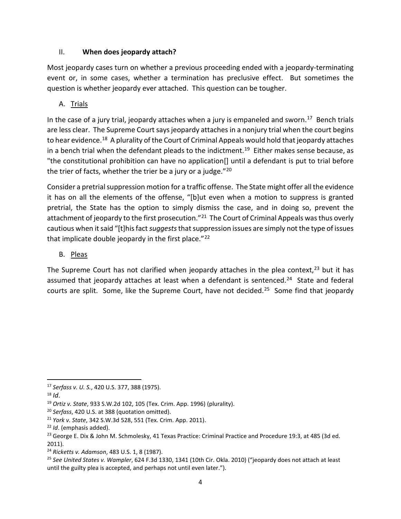#### II. **When does jeopardy attach?**

Most jeopardy cases turn on whether a previous proceeding ended with a jeopardy-terminating event or, in some cases, whether a termination has preclusive effect. But sometimes the question is whether jeopardy ever attached. This question can be tougher.

#### A. Trials

In the case of a jury trial, jeopardy attaches when a jury is empaneled and sworn.<sup>[17](#page-3-0)</sup> Bench trials are less clear. The Supreme Court says jeopardy attaches in a nonjury trial when the court begins to hear evidence.<sup>[18](#page-3-1)</sup> A plurality of the Court of Criminal Appeals would hold that jeopardy attaches in a bench trial when the defendant pleads to the indictment.<sup>[19](#page-3-2)</sup> Either makes sense because, as "the constitutional prohibition can have no application[] until a defendant is put to trial before the trier of facts, whether the trier be a jury or a judge. $"^{20}$ 

Consider a pretrial suppression motion for a traffic offense. The State might offer all the evidence it has on all the elements of the offense, "[b]ut even when a motion to suppress is granted pretrial, the State has the option to simply dismiss the case, and in doing so, prevent the attachment of jeopardy to the first prosecution."<sup>21</sup> The Court of Criminal Appeals was thus overly cautious when it said "[t]his fact *suggests*that suppression issues are simply not the type of issues that implicate double jeopardy in the first place." $^{22}$ 

#### B. Pleas

The Supreme Court has not clarified when jeopardy attaches in the plea context, $^{23}$  $^{23}$  $^{23}$  but it has assumed that jeopardy attaches at least when a defendant is sentenced.<sup>[24](#page-3-7)</sup> State and federal courts are split. Some, like the Supreme Court, have not decided.<sup>25</sup> Some find that jeopardy

<span id="page-3-0"></span> <sup>17</sup> *Serfass v. U. S.*, 420 U.S. 377, 388 (1975).

<span id="page-3-1"></span> $18$  *Id.* 

<span id="page-3-2"></span><sup>19</sup> *Ortiz v. State*, 933 S.W.2d 102, 105 (Tex. Crim. App. 1996) (plurality).

<span id="page-3-3"></span><sup>20</sup> *Serfass*, 420 U.S. at 388 (quotation omitted).

<span id="page-3-5"></span><span id="page-3-4"></span><sup>21</sup> *York v. State*, 342 S.W.3d 528, 551 (Tex. Crim. App. 2011). 22 *Id*. (emphasis added).

<span id="page-3-6"></span><sup>&</sup>lt;sup>23</sup> George E. Dix & John M. Schmolesky, 41 Texas Practice: Criminal Practice and Procedure 19:3, at 485 (3d ed. 2011).

<span id="page-3-7"></span><sup>24</sup> *Ricketts v. Adamson*, 483 U.S. 1, 8 (1987).

<span id="page-3-8"></span><sup>25</sup> *See United States v. Wampler*, 624 F.3d 1330, 1341 (10th Cir. Okla. 2010) ("jeopardy does not attach at least until the guilty plea is accepted, and perhaps not until even later.").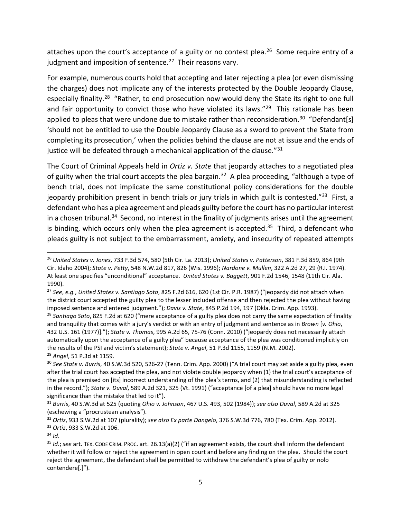attaches upon the court's acceptance of a guilty or no contest plea.<sup>[26](#page-4-0)</sup> Some require entry of a judgment and imposition of sentence. $27$  Their reasons vary.

For example, numerous courts hold that accepting and later rejecting a plea (or even dismissing the charges) does not implicate any of the interests protected by the Double Jeopardy Clause, especially finality.<sup>28</sup> "Rather, to end prosecution now would deny the State its right to one full and fair opportunity to convict those who have violated its laws."<sup>[29](#page-4-3)</sup> This rationale has been applied to pleas that were undone due to mistake rather than reconsideration.<sup>30</sup> "Defendant[s] 'should not be entitled to use the Double Jeopardy Clause as a sword to prevent the State from completing its prosecution,' when the policies behind the clause are not at issue and the ends of justice will be defeated through a mechanical application of the clause."<sup>[31](#page-4-5)</sup>

The Court of Criminal Appeals held in *Ortiz v. State* that jeopardy attaches to a negotiated plea of guilty when the trial court accepts the plea bargain.<sup>32</sup> A plea proceeding, "although a type of bench trial, does not implicate the same constitutional policy considerations for the double jeopardy prohibition present in bench trials or jury trials in which guilt is contested."<sup>[33](#page-4-7)</sup> First, a defendant who has a plea agreement and pleads guilty before the court has no particular interest in a chosen tribunal.<sup>34</sup> Second, no interest in the finality of judgments arises until the agreement is binding, which occurs only when the plea agreement is accepted. $35$  Third, a defendant who pleads guilty is not subject to the embarrassment, anxiety, and insecurity of repeated attempts

<span id="page-4-0"></span> <sup>26</sup> *United States v. Jones*, 733 F.3d 574, 580 (5th Cir. La. 2013); *United States v. Patterson*, 381 F.3d 859, 864 (9th Cir. Idaho 2004); *State v. Petty*, 548 N.W.2d 817, 826 (Wis. 1996); *Nardone v. Mullen*, 322 A.2d 27, 29 (R.I. 1974). At least one specifies "unconditional" acceptance. *United States v. Baggett*, 901 F.2d 1546, 1548 (11th Cir. Ala. 1990).

<span id="page-4-1"></span><sup>27</sup> *See*, *e.g.*, *United States v. Santiago Soto*, 825 F.2d 616, 620 (1st Cir. P.R. 1987) ("jeopardy did not attach when the district court accepted the guilty plea to the lesser included offense and then rejected the plea without having imposed sentence and entered judgment."); *Davis v. State*, 845 P.2d 194, 197 (Okla. Crim. App. 1993).

<span id="page-4-2"></span><sup>28</sup> *Santiago Soto*, 825 F.2d at 620 ("mere acceptance of a guilty plea does not carry the same expectation of finality and tranquility that comes with a jury's verdict or with an entry of judgment and sentence as in *Brown* [*v. Ohio*, 432 U.S. 161 (1977)]."); *State v. Thomas*, 995 A.2d 65, 75-76 (Conn. 2010) ("jeopardy does not necessarily attach automatically upon the acceptance of a guilty plea" because acceptance of the plea was conditioned implicitly on the results of the PSI and victim's statement); *State v. Angel*, 51 P.3d 1155, 1159 (N.M. 2002). <sup>29</sup> *Angel*, 51 P.3d at 1159.

<span id="page-4-4"></span><span id="page-4-3"></span><sup>30</sup> *See State v. Burris*, 40 S.W.3d 520, 526-27 (Tenn. Crim. App. 2000) ("A trial court may set aside a guilty plea, even after the trial court has accepted the plea, and not violate double jeopardy when (1) the trial court's acceptance of the plea is premised on [its] incorrect understanding of the plea's terms, and (2) that misunderstanding is reflected in the record."); *State v. Duval*, 589 A.2d 321, 325 (Vt. 1991) ("acceptance [of a plea] should have no more legal significance than the mistake that led to it").

<span id="page-4-5"></span><sup>31</sup> *Burris*, 40 S.W.3d at 525 (quoting *Ohio v. Johnson*, 467 U.S. 493, 502 (1984)); *see also Duval*, 589 A.2d at 325 (eschewing a "procrustean analysis").

<span id="page-4-7"></span><span id="page-4-6"></span><sup>32</sup> *Ortiz*, 933 S.W.2d at 107 (plurality); *see also Ex parte Dangelo*, 376 S.W.3d 776, 780 (Tex. Crim. App. 2012). <sup>33</sup> *Ortiz*, 933 S.W.2d at 106.

<span id="page-4-8"></span> $34$  *Id.* 

<span id="page-4-9"></span><sup>35</sup> *Id*.; *see* art. TEX. CODE CRIM. PROC. art. 26.13(a)(2) ("if an agreement exists, the court shall inform the defendant whether it will follow or reject the agreement in open court and before any finding on the plea. Should the court reject the agreement, the defendant shall be permitted to withdraw the defendant's plea of guilty or nolo contendere[.]").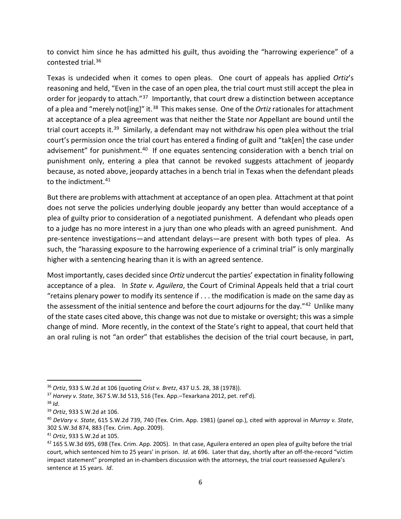to convict him since he has admitted his guilt, thus avoiding the "harrowing experience" of a contested trial[.36](#page-5-0)

Texas is undecided when it comes to open pleas. One court of appeals has applied *Ortiz*'s reasoning and held, "Even in the case of an open plea, the trial court must still accept the plea in order for jeopardy to attach."<sup>[37](#page-5-1)</sup> Importantly, that court drew a distinction between acceptance of a plea and "merely not[ing]" it.[38](#page-5-2) This makes sense. One of the *Ortiz*rationales for attachment at acceptance of a plea agreement was that neither the State nor Appellant are bound until the trial court accepts it.<sup>39</sup> Similarly, a defendant may not withdraw his open plea without the trial court's permission once the trial court has entered a finding of guilt and "tak[en] the case under advisement" for punishment.<sup>40</sup> If one equates sentencing consideration with a bench trial on punishment only, entering a plea that cannot be revoked suggests attachment of jeopardy because, as noted above, jeopardy attaches in a bench trial in Texas when the defendant pleads to the indictment.<sup>[41](#page-5-5)</sup>

But there are problems with attachment at acceptance of an open plea. Attachment at that point does not serve the policies underlying double jeopardy any better than would acceptance of a plea of guilty prior to consideration of a negotiated punishment. A defendant who pleads open to a judge has no more interest in a jury than one who pleads with an agreed punishment. And pre-sentence investigations—and attendant delays—are present with both types of plea. As such, the "harassing exposure to the harrowing experience of a criminal trial" is only marginally higher with a sentencing hearing than it is with an agreed sentence.

Most importantly, cases decided since *Ortiz* undercut the parties' expectation in finality following acceptance of a plea. In *State v. Aguilera*, the Court of Criminal Appeals held that a trial court "retains plenary power to modify its sentence if . . . the modification is made on the same day as the assessment of the initial sentence and before the court adjourns for the day."<sup>42</sup> Unlike many of the state cases cited above, this change was not due to mistake or oversight; this was a simple change of mind. More recently, in the context of the State's right to appeal, that court held that an oral ruling is not "an order" that establishes the decision of the trial court because, in part,

<span id="page-5-0"></span> <sup>36</sup> *Ortiz*, 933 S.W.2d at 106 (quoting *Crist v. Bretz*, 437 U.S. 28, 38 (1978)).

<span id="page-5-1"></span><sup>37</sup> *Harvey v. State*, 367 S.W.3d 513, 516 (Tex. App.–Texarkana 2012, pet. ref'd). 38 *Id*.

<span id="page-5-2"></span>

<span id="page-5-3"></span><sup>39</sup> *Ortiz*, 933 S.W.2d at 106.

<span id="page-5-4"></span><sup>40</sup> *DeVary v. State*, 615 S.W.2d 739, 740 (Tex. Crim. App. 1981) (panel op.), cited with approval in *Murray v. State*, 302 S.W.3d 874, 883 (Tex. Crim. App. 2009).

<span id="page-5-5"></span><sup>41</sup> *Ortiz*, 933 S.W.2d at 105.

<span id="page-5-6"></span> $42$  165 S.W.3d 695, 698 (Tex. Crim. App. 2005). In that case, Aguilera entered an open plea of guilty before the trial court, which sentenced him to 25 years' in prison. *Id*. at 696. Later that day, shortly after an off-the-record "victim impact statement" prompted an in-chambers discussion with the attorneys, the trial court reassessed Aguilera's sentence at 15 years. *Id*.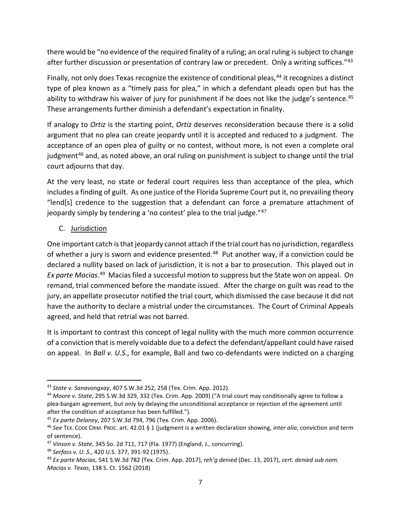there would be "no evidence of the required finality of a ruling; an oral ruling is subject to change after further discussion or presentation of contrary law or precedent. Only a writing suffices."<sup>[43](#page-6-0)</sup>

Finally, not only does Texas recognize the existence of conditional pleas,<sup>[44](#page-6-1)</sup> it recognizes a distinct type of plea known as a "timely pass for plea," in which a defendant pleads open but has the ability to withdraw his waiver of jury for punishment if he does not like the judge's sentence.<sup>[45](#page-6-2)</sup> These arrangements further diminish a defendant's expectation in finality.

If analogy to *Ortiz* is the starting point, *Ortiz* deserves reconsideration because there is a solid argument that no plea can create jeopardy until it is accepted and reduced to a judgment. The acceptance of an open plea of guilty or no contest, without more, is not even a complete oral judgment<sup>[46](#page-6-3)</sup> and, as noted above, an oral ruling on punishment is subject to change until the trial court adjourns that day.

At the very least, no state or federal court requires less than acceptance of the plea, which includes a finding of guilt. As one justice of the Florida Supreme Court put it, no prevailing theory "lend[s] credence to the suggestion that a defendant can force a premature attachment of jeopardy simply by tendering a 'no contest' plea to the trial judge."[47](#page-6-4)

#### C. Jurisdiction

One important catch is that jeopardy cannot attach if the trial court has no jurisdiction, regardless of whether a jury is sworn and evidence presented. $48$  Put another way, if a conviction could be declared a nullity based on lack of jurisdiction, it is not a bar to prosecution. This played out in *Ex parte Macias*. [49](#page-6-6) Macias filed a successful motion to suppress but the State won on appeal. On remand, trial commenced before the mandate issued. After the charge on guilt was read to the jury, an appellate prosecutor notified the trial court, which dismissed the case because it did not have the authority to declare a mistrial under the circumstances. The Court of Criminal Appeals agreed, and held that retrial was not barred.

It is important to contrast this concept of legal nullity with the much more common occurrence of a conviction that is merely voidable due to a defect the defendant/appellant could have raised on appeal. In *Ball v. U.S.*, for example, Ball and two co-defendants were indicted on a charging

<span id="page-6-1"></span><span id="page-6-0"></span><sup>&</sup>lt;sup>43</sup> *State v. Sanavongxay*, 407 S.W.3d 252, 258 (Tex. Crim. App. 2012).<br><sup>44</sup> *Moore v. State*, 295 S.W.3d 329, 332 (Tex. Crim. App. 2009) ("A trial court may conditionally agree to follow a plea-bargain agreement, but only by delaying the unconditional acceptance or rejection of the agreement until after the condition of acceptance has been fulfilled.").

<span id="page-6-2"></span><sup>45</sup> *Ex parte Delaney*, 207 S.W.3d 794, 796 (Tex. Crim. App. 2006).

<span id="page-6-3"></span><sup>46</sup> *See* TEX. CODE CRIM. PROC. art. 42.01 § 1 (judgment is a written declaration showing, *inter alia*, conviction and term of sentence).

<span id="page-6-4"></span><sup>47</sup> *Vinson v. State*, 345 So. 2d 711, 717 (Fla. 1977) (England, J., concurring).

<span id="page-6-5"></span><sup>48</sup> *Serfass v. U. S.*, 420 U.S. 377, 391-92 (1975).

<span id="page-6-6"></span><sup>49</sup> *Ex parte Macias*, 541 S.W.3d 782 (Tex. Crim. App. 2017), *reh'g denied* (Dec. 13, 2017), *cert. denied sub nom. Macias v. Texas*, 138 S. Ct. 1562 (2018)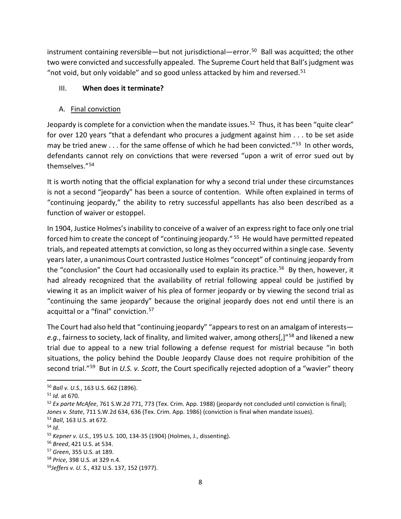instrument containing reversible—but not jurisdictional—error.[50](#page-7-0) Ball was acquitted; the other two were convicted and successfully appealed. The Supreme Court held that Ball's judgment was "not void, but only voidable" and so good unless attacked by him and reversed.<sup>[51](#page-7-1)</sup>

#### III. **When does it terminate?**

#### A. Final conviction

Jeopardy is complete for a conviction when the mandate issues.<sup>52</sup> Thus, it has been "quite clear" for over 120 years "that a defendant who procures a judgment against him . . . to be set aside may be tried anew  $\dots$  for the same offense of which he had been convicted."<sup>53</sup> In other words, defendants cannot rely on convictions that were reversed "upon a writ of error sued out by themselves."[54](#page-7-4)

It is worth noting that the official explanation for why a second trial under these circumstances is not a second "jeopardy" has been a source of contention. While often explained in terms of "continuing jeopardy," the ability to retry successful appellants has also been described as a function of waiver or estoppel.

In 1904, Justice Holmes's inability to conceive of a waiver of an express right to face only one trial forced him to create the concept of "continuing jeopardy." [55](#page-7-5) He would have permitted repeated trials, and repeated attempts at conviction, so long as they occurred within a single case. Seventy years later, a unanimous Court contrasted Justice Holmes "concept" of continuing jeopardy from the "conclusion" the Court had occasionally used to explain its practice.<sup>[56](#page-7-6)</sup> By then, however, it had already recognized that the availability of retrial following appeal could be justified by viewing it as an implicit waiver of his plea of former jeopardy or by viewing the second trial as "continuing the same jeopardy" because the original jeopardy does not end until there is an acquittal or a "final" conviction.<sup>[57](#page-7-7)</sup>

The Court had also held that "continuing jeopardy" "appears to rest on an amalgam of interests *e.g.*, fairness to society, lack of finality, and limited waiver, among others[,]"[58](#page-7-8) and likened a new trial due to appeal to a new trial following a defense request for mistrial because "in both situations, the policy behind the Double Jeopardy Clause does not require prohibition of the second trial."[59](#page-7-9) But in *U.S. v. Scott*, the Court specifically rejected adoption of a "wavier" theory

<span id="page-7-0"></span> <sup>50</sup> *Ball v. U.S.*, 163 U.S. 662 (1896).

<span id="page-7-1"></span><sup>51</sup> *Id.* at 670.

<span id="page-7-2"></span><sup>52</sup> *Ex parte McAfee*, 761 S.W.2d 771, 773 (Tex. Crim. App. 1988) (jeopardy not concluded until conviction is final); *Jones v. State*, 711 S.W.2d 634, 636 (Tex. Crim. App. 1986) (conviction is final when mandate issues).

<span id="page-7-3"></span><sup>53</sup> *Ball*, 163 U.S. at 672.

<span id="page-7-4"></span><sup>54</sup> *Id*.

<span id="page-7-5"></span><sup>55</sup> *Kepner v. U.S.*, 195 U.S. 100, 134-35 (1904) (Holmes, J., dissenting).

<span id="page-7-6"></span><sup>56</sup> *Breed*, 421 U.S. at 534.

<span id="page-7-7"></span><sup>57</sup> *Green*, 355 U.S. at 189.

<span id="page-7-8"></span><sup>58</sup> *Price*, 398 U.S. at 329 n.4.

<span id="page-7-9"></span><sup>59</sup>*Jeffers v. U. S.*, 432 U.S. 137, 152 (1977).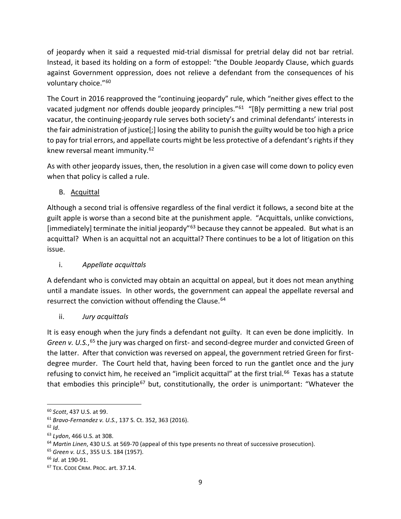of jeopardy when it said a requested mid-trial dismissal for pretrial delay did not bar retrial. Instead, it based its holding on a form of estoppel: "the Double Jeopardy Clause, which guards against Government oppression, does not relieve a defendant from the consequences of his voluntary choice."<sup>[60](#page-8-0)</sup>

The Court in 2016 reapproved the "continuing jeopardy" rule, which "neither gives effect to the vacated judgment nor offends double jeopardy principles."<sup>61</sup> "[B]y permitting a new trial post vacatur, the continuing-jeopardy rule serves both society's and criminal defendants' interests in the fair administration of justice[;] losing the ability to punish the guilty would be too high a price to pay for trial errors, and appellate courts might be less protective of a defendant's rights if they knew reversal meant immunity.[62](#page-8-2)

As with other jeopardy issues, then, the resolution in a given case will come down to policy even when that policy is called a rule.

B. Acquittal

Although a second trial is offensive regardless of the final verdict it follows, a second bite at the guilt apple is worse than a second bite at the punishment apple. "Acquittals, unlike convictions, [immediately] terminate the initial jeopardy"<sup>[63](#page-8-3)</sup> because they cannot be appealed. But what is an acquittal? When is an acquittal not an acquittal? There continues to be a lot of litigation on this issue.

# i. *Appellate acquittals*

A defendant who is convicted may obtain an acquittal on appeal, but it does not mean anything until a mandate issues. In other words, the government can appeal the appellate reversal and resurrect the conviction without offending the Clause.<sup>64</sup>

ii. *Jury acquittals*

It is easy enough when the jury finds a defendant not guilty. It can even be done implicitly. In Green v. U.S.,<sup>[65](#page-8-5)</sup> the jury was charged on first- and second-degree murder and convicted Green of the latter. After that conviction was reversed on appeal, the government retried Green for firstdegree murder. The Court held that, having been forced to run the gantlet once and the jury refusing to convict him, he received an "implicit acquittal" at the first trial.<sup>66</sup> Texas has a statute that embodies this principle<sup>[67](#page-8-7)</sup> but, constitutionally, the order is unimportant: "Whatever the

<span id="page-8-0"></span> <sup>60</sup> *Scott*, 437 U.S. at 99.

<span id="page-8-1"></span><sup>61</sup> *Bravo-Fernandez v. U.S.*, 137 S. Ct. 352, 363 (2016).

<span id="page-8-2"></span> $62$  *Id.* 

<span id="page-8-3"></span><sup>63</sup> *Lydon*, 466 U.S. at 308.

<span id="page-8-4"></span><sup>64</sup> *Martin Linen*, 430 U.S. at 569-70 (appeal of this type presents no threat of successive prosecution).

<span id="page-8-5"></span><sup>65</sup> *Green v. U.S.*, 355 U.S. 184 (1957).

<span id="page-8-6"></span><sup>66</sup> *Id*. at 190-91.

<span id="page-8-7"></span><sup>67</sup> TEX. CODE CRIM. PROC. art. 37.14.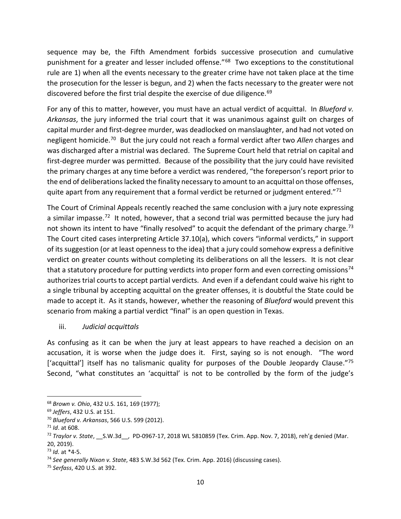sequence may be, the Fifth Amendment forbids successive prosecution and cumulative punishment for a greater and lesser included offense."<sup>[68](#page-9-0)</sup> Two exceptions to the constitutional rule are 1) when all the events necessary to the greater crime have not taken place at the time the prosecution for the lesser is begun, and 2) when the facts necessary to the greater were not discovered before the first trial despite the exercise of due diligence.<sup>[69](#page-9-1)</sup>

For any of this to matter, however, you must have an actual verdict of acquittal. In *Blueford v. Arkansas*, the jury informed the trial court that it was unanimous against guilt on charges of capital murder and first-degree murder, was deadlocked on manslaughter, and had not voted on negligent homicide.[70](#page-9-2) But the jury could not reach a formal verdict after two *Allen* charges and was discharged after a mistrial was declared. The Supreme Court held that retrial on capital and first-degree murder was permitted. Because of the possibility that the jury could have revisited the primary charges at any time before a verdict was rendered, "the foreperson's report prior to the end of deliberations lacked the finality necessary to amount to an acquittal on those offenses, quite apart from any requirement that a formal verdict be returned or judgment entered."<sup>71</sup>

The Court of Criminal Appeals recently reached the same conclusion with a jury note expressing a similar impasse.<sup>[72](#page-9-4)</sup> It noted, however, that a second trial was permitted because the jury had not shown its intent to have "finally resolved" to acquit the defendant of the primary charge.<sup>[73](#page-9-5)</sup> The Court cited cases interpreting Article 37.10(a), which covers "informal verdicts," in support of its suggestion (or at least openness to the idea) that a jury could somehow express a definitive verdict on greater counts without completing its deliberations on all the lessers. It is not clear that a statutory procedure for putting verdicts into proper form and even correcting omissions<sup>[74](#page-9-6)</sup> authorizes trial courts to accept partial verdicts. And even if a defendant could waive his right to a single tribunal by accepting acquittal on the greater offenses, it is doubtful the State could be made to accept it. As it stands, however, whether the reasoning of *Blueford* would prevent this scenario from making a partial verdict "final" is an open question in Texas.

iii. *Judicial acquittals*

As confusing as it can be when the jury at least appears to have reached a decision on an accusation, it is worse when the judge does it. First, saying so is not enough. "The word ['acquittal'] itself has no talismanic quality for purposes of the Double Jeopardy Clause."[75](#page-9-7) Second, "what constitutes an 'acquittal' is not to be controlled by the form of the judge's

<span id="page-9-1"></span><span id="page-9-0"></span><sup>68</sup> *Brown v. Ohio*, 432 U.S. 161, 169 (1977); 69 *Jeffers*, 432 U.S. at 151.

<span id="page-9-2"></span><sup>70</sup> *Blueford v. Arkansas*, 566 U.S. 599 (2012).

<span id="page-9-3"></span><sup>71</sup> *Id*. at 608.

<span id="page-9-4"></span><sup>72</sup> *Traylor v. State*, \_\_S.W.3d\_\_, PD-0967-17, 2018 WL 5810859 (Tex. Crim. App. Nov. 7, 2018), reh'g denied (Mar. 20, 2019).

<span id="page-9-5"></span><sup>73</sup> *Id.* at \*4-5.

<span id="page-9-7"></span><span id="page-9-6"></span><sup>74</sup> *See generally Nixon v. State*, 483 S.W.3d 562 (Tex. Crim. App. 2016) (discussing cases). 75 *Serfass*, 420 U.S. at 392.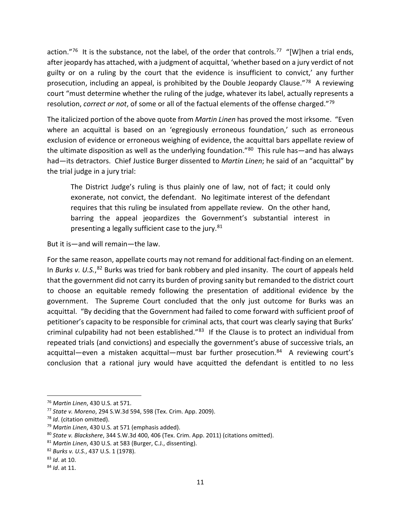action."<sup>76</sup> It is the substance, not the label, of the order that controls.<sup>[77](#page-10-1)</sup> "[W]hen a trial ends, after jeopardy has attached, with a judgment of acquittal, 'whether based on a jury verdict of not guilty or on a ruling by the court that the evidence is insufficient to convict,' any further prosecution, including an appeal, is prohibited by the Double Jeopardy Clause."<sup>[78](#page-10-2)</sup> A reviewing court "must determine whether the ruling of the judge, whatever its label, actually represents a resolution, *correct or not*, of some or all of the factual elements of the offense charged."[79](#page-10-3)

The italicized portion of the above quote from *Martin Linen* has proved the most irksome. "Even where an acquittal is based on an 'egregiously erroneous foundation,' such as erroneous exclusion of evidence or erroneous weighing of evidence, the acquittal bars appellate review of the ultimate disposition as well as the underlying foundation."<sup>[80](#page-10-4)</sup> This rule has—and has always had—its detractors. Chief Justice Burger dissented to *Martin Linen*; he said of an "acquittal" by the trial judge in a jury trial:

The District Judge's ruling is thus plainly one of law, not of fact; it could only exonerate, not convict, the defendant. No legitimate interest of the defendant requires that this ruling be insulated from appellate review. On the other hand, barring the appeal jeopardizes the Government's substantial interest in presenting a legally sufficient case to the jury.<sup>81</sup>

But it is—and will remain—the law.

For the same reason, appellate courts may not remand for additional fact-finding on an element. In Burks v. U.S.,<sup>[82](#page-10-6)</sup> Burks was tried for bank robbery and pled insanity. The court of appeals held that the government did not carry its burden of proving sanity but remanded to the district court to choose an equitable remedy following the presentation of additional evidence by the government. The Supreme Court concluded that the only just outcome for Burks was an acquittal. "By deciding that the Government had failed to come forward with sufficient proof of petitioner's capacity to be responsible for criminal acts, that court was clearly saying that Burks' criminal culpability had not been established."<sup>83</sup> If the Clause is to protect an individual from repeated trials (and convictions) and especially the government's abuse of successive trials, an acquittal—even a mistaken acquittal—must bar further prosecution. $84$  A reviewing court's conclusion that a rational jury would have acquitted the defendant is entitled to no less

<span id="page-10-0"></span> <sup>76</sup> *Martin Linen*, 430 U.S. at 571.

<span id="page-10-1"></span><sup>77</sup> *State v. Moreno*, 294 S.W.3d 594, 598 (Tex. Crim. App. 2009).

<span id="page-10-2"></span><sup>78</sup> *Id*. (citation omitted).

<span id="page-10-3"></span><sup>79</sup> *Martin Linen*, 430 U.S. at 571 (emphasis added).

<span id="page-10-4"></span><sup>80</sup> *State v. Blackshere*, 344 S.W.3d 400, 406 (Tex. Crim. App. 2011) (citations omitted).

<span id="page-10-5"></span><sup>81</sup> *Martin Linen*, 430 U.S. at 583 (Burger, C.J., dissenting).

<span id="page-10-6"></span><sup>82</sup> *Burks v. U.S.*, 437 U.S. 1 (1978).

<span id="page-10-7"></span><sup>83</sup> *Id*. at 10.

<span id="page-10-8"></span><sup>84</sup> *Id*. at 11.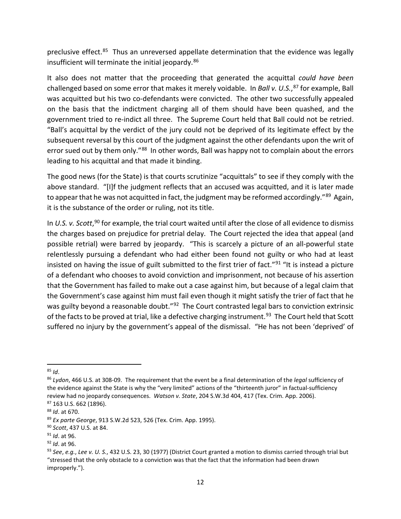preclusive effect.<sup>[85](#page-11-0)</sup> Thus an unreversed appellate determination that the evidence was legally insufficient will terminate the initial jeopardy.<sup>[86](#page-11-1)</sup>

It also does not matter that the proceeding that generated the acquittal *could have been* challenged based on some error that makes it merely voidable. In *Ball v. U.S.*, [87](#page-11-2) for example, Ball was acquitted but his two co-defendants were convicted. The other two successfully appealed on the basis that the indictment charging all of them should have been quashed, and the government tried to re-indict all three. The Supreme Court held that Ball could not be retried. "Ball's acquittal by the verdict of the jury could not be deprived of its legitimate effect by the subsequent reversal by this court of the judgment against the other defendants upon the writ of error sued out by them only."<sup>88</sup> In other words, Ball was happy not to complain about the errors leading to his acquittal and that made it binding.

The good news (for the State) is that courts scrutinize "acquittals" to see if they comply with the above standard. "[I]f the judgment reflects that an accused was acquitted, and it is later made to appear that he was not acquitted in fact, the judgment may be reformed accordingly."<sup>89</sup> Again, it is the substance of the order or ruling, not its title.

In *U.S. v. Scott*, [90](#page-11-5) for example, the trial court waited until after the close of all evidence to dismiss the charges based on prejudice for pretrial delay. The Court rejected the idea that appeal (and possible retrial) were barred by jeopardy. "This is scarcely a picture of an all-powerful state relentlessly pursuing a defendant who had either been found not guilty or who had at least insisted on having the issue of guilt submitted to the first trier of fact."<sup>[91](#page-11-6)</sup> "It is instead a picture of a defendant who chooses to avoid conviction and imprisonment, not because of his assertion that the Government has failed to make out a case against him, but because of a legal claim that the Government's case against him must fail even though it might satisfy the trier of fact that he was guilty beyond a reasonable doubt."<sup>[92](#page-11-7)</sup> The Court contrasted legal bars to conviction extrinsic of the facts to be proved at trial, like a defective charging instrument.<sup>[93](#page-11-8)</sup> The Court held that Scott suffered no injury by the government's appeal of the dismissal. "He has not been 'deprived' of

<span id="page-11-0"></span> <sup>85</sup> *Id*.

<span id="page-11-1"></span><sup>86</sup> *Lydon*, 466 U.S. at 308-09. The requirement that the event be a final determination of the *legal* sufficiency of the evidence against the State is why the "very limited" actions of the "thirteenth juror" in factual-sufficiency review had no jeopardy consequences. *Watson v. State*, 204 S.W.3d 404, 417 (Tex. Crim. App. 2006). <sup>87</sup> 163 U.S. 662 (1896).

<span id="page-11-3"></span><span id="page-11-2"></span><sup>88</sup> *Id*. at 670.

<span id="page-11-4"></span><sup>89</sup> *Ex parte George*, 913 S.W.2d 523, 526 (Tex. Crim. App. 1995). 90 *Scott*, 437 U.S. at 84.

<span id="page-11-5"></span>

<span id="page-11-6"></span><sup>91</sup> *Id*. at 96.

<span id="page-11-7"></span><sup>92</sup> *Id*. at 96.

<span id="page-11-8"></span><sup>93</sup> *See*, *e.g.*, *Lee v. U. S.*, 432 U.S. 23, 30 (1977) (District Court granted a motion to dismiss carried through trial but "stressed that the only obstacle to a conviction was that the fact that the information had been drawn improperly.").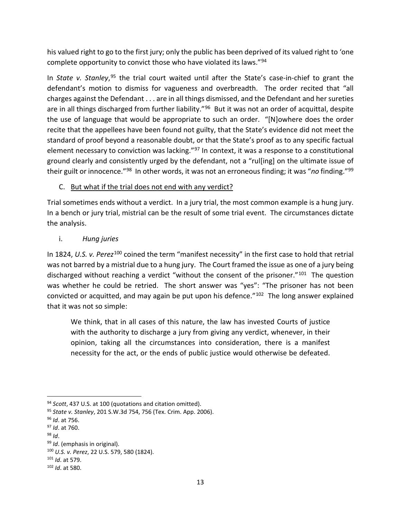his valued right to go to the first jury; only the public has been deprived of its valued right to 'one complete opportunity to convict those who have violated its laws."[94](#page-12-0)

In *State v. Stanley*,<sup>[95](#page-12-1)</sup> the trial court waited until after the State's case-in-chief to grant the defendant's motion to dismiss for vagueness and overbreadth. The order recited that "all charges against the Defendant . . . are in all things dismissed, and the Defendant and her sureties are in all things discharged from further liability."<sup>[96](#page-12-2)</sup> But it was not an order of acquittal, despite the use of language that would be appropriate to such an order. "[N]owhere does the order recite that the appellees have been found not guilty, that the State's evidence did not meet the standard of proof beyond a reasonable doubt, or that the State's proof as to any specific factual element necessary to conviction was lacking."<sup>[97](#page-12-3)</sup> In context, it was a response to a constitutional ground clearly and consistently urged by the defendant, not a "rul[ing] on the ultimate issue of their guilt or innocence."[98](#page-12-4) In other words, it was not an erroneous finding; it was "*no* finding."[99](#page-12-5)

#### C. But what if the trial does not end with any verdict?

Trial sometimes ends without a verdict. In a jury trial, the most common example is a hung jury. In a bench or jury trial, mistrial can be the result of some trial event. The circumstances dictate the analysis.

#### i. *Hung juries*

In 1824, *U.S. v. Perez*[100](#page-12-6) coined the term "manifest necessity" in the first case to hold that retrial was not barred by a mistrial due to a hung jury. The Court framed the issue as one of a jury being discharged without reaching a verdict "without the consent of the prisoner."<sup>[101](#page-12-7)</sup> The question was whether he could be retried. The short answer was "yes": "The prisoner has not been convicted or acquitted, and may again be put upon his defence."[102](#page-12-8) The long answer explained that it was not so simple:

We think, that in all cases of this nature, the law has invested Courts of justice with the authority to discharge a jury from giving any verdict, whenever, in their opinion, taking all the circumstances into consideration, there is a manifest necessity for the act, or the ends of public justice would otherwise be defeated.

<span id="page-12-0"></span> <sup>94</sup> *Scott*, 437 U.S. at 100 (quotations and citation omitted).

<span id="page-12-1"></span><sup>95</sup> *State v. Stanley*, 201 S.W.3d 754, 756 (Tex. Crim. App. 2006).

<span id="page-12-2"></span><sup>96</sup> *Id*. at 756.

<span id="page-12-3"></span><sup>97</sup> *Id*. at 760.

<span id="page-12-4"></span><sup>98</sup> *Id*.

<span id="page-12-5"></span><sup>99</sup> *Id*. (emphasis in original).

<span id="page-12-6"></span><sup>100</sup> *U.S. v. Perez*, 22 U.S. 579, 580 (1824). 101 *Id*. at 579.

<span id="page-12-8"></span><span id="page-12-7"></span><sup>102</sup> *Id*. at 580.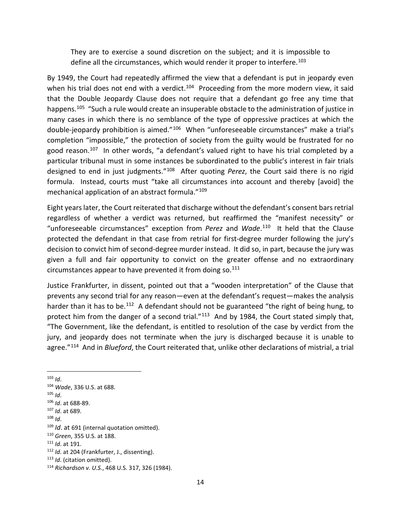They are to exercise a sound discretion on the subject; and it is impossible to define all the circumstances, which would render it proper to interfere.<sup>103</sup>

By 1949, the Court had repeatedly affirmed the view that a defendant is put in jeopardy even when his trial does not end with a verdict.<sup>[104](#page-13-1)</sup> Proceeding from the more modern view, it said that the Double Jeopardy Clause does not require that a defendant go free any time that happens.<sup>[105](#page-13-2)</sup> "Such a rule would create an insuperable obstacle to the administration of justice in many cases in which there is no semblance of the type of oppressive practices at which the double-jeopardy prohibition is aimed."<sup>[106](#page-13-3)</sup> When "unforeseeable circumstances" make a trial's completion "impossible," the protection of society from the guilty would be frustrated for no good reason.<sup>107</sup> In other words, "a defendant's valued right to have his trial completed by a particular tribunal must in some instances be subordinated to the public's interest in fair trials designed to end in just judgments."[108](#page-13-5) After quoting *Perez*, the Court said there is no rigid formula. Instead, courts must "take all circumstances into account and thereby [avoid] the mechanical application of an abstract formula."<sup>[109](#page-13-6)</sup>

Eight years later, the Court reiterated that discharge without the defendant's consent bars retrial regardless of whether a verdict was returned, but reaffirmed the "manifest necessity" or "unforeseeable circumstances" exception from *Perez* and *Wade*. [110](#page-13-7) It held that the Clause protected the defendant in that case from retrial for first-degree murder following the jury's decision to convict him of second-degree murder instead. It did so, in part, because the jury was given a full and fair opportunity to convict on the greater offense and no extraordinary circumstances appear to have prevented it from doing so.<sup>[111](#page-13-8)</sup>

Justice Frankfurter, in dissent, pointed out that a "wooden interpretation" of the Clause that prevents any second trial for any reason—even at the defendant's request—makes the analysis harder than it has to be.<sup>112</sup> A defendant should not be guaranteed "the right of being hung, to protect him from the danger of a second trial."<sup>[113](#page-13-10)</sup> And by 1984, the Court stated simply that, "The Government, like the defendant, is entitled to resolution of the case by verdict from the jury, and jeopardy does not terminate when the jury is discharged because it is unable to agree."[114](#page-13-11) And in *Blueford*, the Court reiterated that, unlike other declarations of mistrial, a trial

<span id="page-13-2"></span> $105$  *Id*.

<span id="page-13-5"></span><sup>108</sup> *Id*.

<span id="page-13-0"></span> <sup>103</sup> *Id*.

<span id="page-13-1"></span><sup>104</sup> *Wade*, 336 U.S. at 688.

<span id="page-13-3"></span><sup>106</sup> *Id*. at 688-89.

<span id="page-13-4"></span><sup>107</sup> *Id*. at 689.

<span id="page-13-6"></span><sup>109</sup> *Id*. at 691 (internal quotation omitted).

<span id="page-13-8"></span><span id="page-13-7"></span><sup>110</sup> *Green*, 355 U.S. at 188. 111 *Id*. at 191.

<span id="page-13-11"></span>

<span id="page-13-10"></span><span id="page-13-9"></span><sup>112</sup> *Id*. at 204 (Frankfurter, J., dissenting). 113 *Id*. (citation omitted). 114 *Richardson v. U.S.*, 468 U.S. 317, 326 (1984).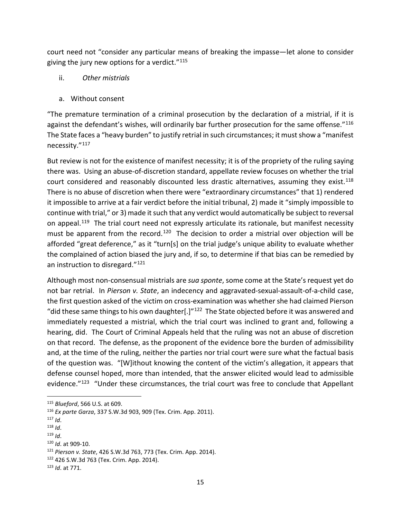court need not "consider any particular means of breaking the impasse—let alone to consider giving the jury new options for a verdict. $"115"$  $"115"$ 

- ii. *Other mistrials*
- a. Without consent

"The premature termination of a criminal prosecution by the declaration of a mistrial, if it is against the defendant's wishes, will ordinarily bar further prosecution for the same offense."<sup>[116](#page-14-1)</sup> The State faces a "heavy burden" to justify retrial in such circumstances; it must show a "manifest necessity."[117](#page-14-2) 

But review is not for the existence of manifest necessity; it is of the propriety of the ruling saying there was. Using an abuse-of-discretion standard, appellate review focuses on whether the trial court considered and reasonably discounted less drastic alternatives, assuming they exist.<sup>[118](#page-14-3)</sup> There is no abuse of discretion when there were "extraordinary circumstances" that 1) rendered it impossible to arrive at a fair verdict before the initial tribunal, 2) made it "simply impossible to continue with trial," or 3) made it such that any verdict would automatically be subject to reversal on appeal.<sup>[119](#page-14-4)</sup> The trial court need not expressly articulate its rationale, but manifest necessity must be apparent from the record.<sup>[120](#page-14-5)</sup> The decision to order a mistrial over objection will be afforded "great deference," as it "turn[s] on the trial judge's unique ability to evaluate whether the complained of action biased the jury and, if so, to determine if that bias can be remedied by an instruction to disregard."[121](#page-14-6)

Although most non-consensual mistrials are *sua sponte*, some come at the State's request yet do not bar retrial. In *Pierson v. State*, an indecency and aggravated-sexual-assault-of-a-child case, the first question asked of the victim on cross-examination was whether she had claimed Pierson "did these same things to his own daughter[.]"<sup>[122](#page-14-7)</sup> The State objected before it was answered and immediately requested a mistrial, which the trial court was inclined to grant and, following a hearing, did. The Court of Criminal Appeals held that the ruling was not an abuse of discretion on that record. The defense, as the proponent of the evidence bore the burden of admissibility and, at the time of the ruling, neither the parties nor trial court were sure what the factual basis of the question was. "[W]ithout knowing the content of the victim's allegation, it appears that defense counsel hoped, more than intended, that the answer elicited would lead to admissible evidence."<sup>[123](#page-14-8)</sup> "Under these circumstances, the trial court was free to conclude that Appellant

<span id="page-14-3"></span><sup>118</sup> *Id*.

<span id="page-14-7"></span><sup>122</sup> 426 S.W.3d 763 (Tex. Crim. App. 2014).

<span id="page-14-0"></span> <sup>115</sup> *Blueford*, 566 U.S. at 609.

<span id="page-14-1"></span><sup>116</sup> *Ex parte Garza*, 337 S.W.3d 903, 909 (Tex. Crim. App. 2011).

<span id="page-14-2"></span> $117$  *Id.* 

<span id="page-14-4"></span> $119$  *Id.* 

<span id="page-14-5"></span><sup>120</sup> *Id*. at 909-10.

<span id="page-14-6"></span><sup>121</sup> *Pierson v. State*, 426 S.W.3d 763, 773 (Tex. Crim. App. 2014).

<span id="page-14-8"></span><sup>123</sup> *Id*. at 771.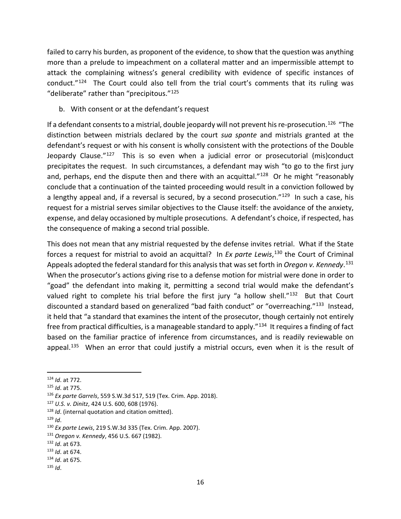failed to carry his burden, as proponent of the evidence, to show that the question was anything more than a prelude to impeachment on a collateral matter and an impermissible attempt to attack the complaining witness's general credibility with evidence of specific instances of conduct."<sup>[124](#page-15-0)</sup> The Court could also tell from the trial court's comments that its ruling was "deliberate" rather than "precipitous."[125](#page-15-1)

#### b. With consent or at the defendant's request

If a defendant consents to a mistrial, double jeopardy will not prevent his re-prosecution.<sup>126</sup> "The distinction between mistrials declared by the court *sua sponte* and mistrials granted at the defendant's request or with his consent is wholly consistent with the protections of the Double Jeopardy Clause."[127](#page-15-3) This is so even when a judicial error or prosecutorial (mis)conduct precipitates the request. In such circumstances, a defendant may wish "to go to the first jury and, perhaps, end the dispute then and there with an acquittal." $128$  Or he might "reasonably conclude that a continuation of the tainted proceeding would result in a conviction followed by a lengthy appeal and, if a reversal is secured, by a second prosecution."<sup>[129](#page-15-5)</sup> In such a case, his request for a mistrial serves similar objectives to the Clause itself: the avoidance of the anxiety, expense, and delay occasioned by multiple prosecutions. A defendant's choice, if respected, has the consequence of making a second trial possible.

This does not mean that any mistrial requested by the defense invites retrial. What if the State forces a request for mistrial to avoid an acquittal? In *Ex parte Lewis*,<sup>[130](#page-15-6)</sup> the Court of Criminal Appeals adopted the federal standard for this analysis that was set forth in *Oregon v. Kennedy*. [131](#page-15-7) When the prosecutor's actions giving rise to a defense motion for mistrial were done in order to "goad" the defendant into making it, permitting a second trial would make the defendant's valued right to complete his trial before the first jury "a hollow shell." $132$  But that Court discounted a standard based on generalized "bad faith conduct" or "overreaching."<sup>133</sup> Instead, it held that "a standard that examines the intent of the prosecutor, though certainly not entirely free from practical difficulties, is a manageable standard to apply."[134](#page-15-10) It requires a finding of fact based on the familiar practice of inference from circumstances, and is readily reviewable on appeal.<sup>135</sup> When an error that could justify a mistrial occurs, even when it is the result of

<span id="page-15-0"></span> <sup>124</sup> *Id*. at 772.

<span id="page-15-1"></span><sup>125</sup> *Id*. at 775.

<span id="page-15-2"></span><sup>126</sup> *Ex parte Garrels*, 559 S.W.3d 517, 519 (Tex. Crim. App. 2018).

<span id="page-15-3"></span><sup>127</sup> *U.S. v. Dinitz*, 424 U.S. 600, 608 (1976).

<span id="page-15-4"></span><sup>128</sup> *Id*. (internal quotation and citation omitted).

<span id="page-15-5"></span> $129$  *Id.* 

<span id="page-15-6"></span><sup>130</sup> *Ex parte Lewis*, 219 S.W.3d 335 (Tex. Crim. App. 2007).

<span id="page-15-7"></span><sup>131</sup> *Oregon v. Kennedy*, 456 U.S. 667 (1982).

<span id="page-15-8"></span><sup>132</sup> *Id*. at 673.

<span id="page-15-10"></span><span id="page-15-9"></span><sup>133</sup> *Id*. at 674. 134 *Id*. at 675. 135 *Id*.

<span id="page-15-11"></span>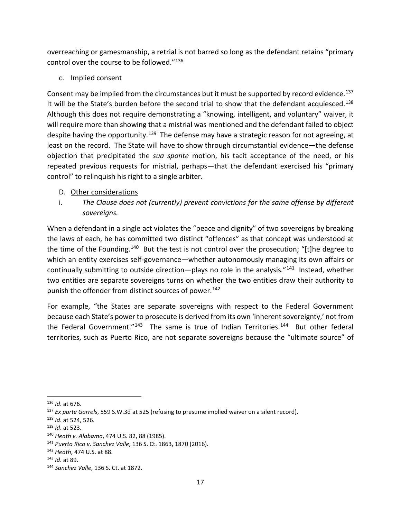overreaching or gamesmanship, a retrial is not barred so long as the defendant retains "primary control over the course to be followed."[136](#page-16-0)

c. Implied consent

Consent may be implied from the circumstances but it must be supported by record evidence.<sup>[137](#page-16-1)</sup> It will be the State's burden before the second trial to show that the defendant acquiesced.<sup>[138](#page-16-2)</sup> Although this does not require demonstrating a "knowing, intelligent, and voluntary" waiver, it will require more than showing that a mistrial was mentioned and the defendant failed to object despite having the opportunity.<sup>139</sup> The defense may have a strategic reason for not agreeing, at least on the record. The State will have to show through circumstantial evidence—the defense objection that precipitated the *sua sponte* motion, his tacit acceptance of the need, or his repeated previous requests for mistrial, perhaps—that the defendant exercised his "primary control" to relinquish his right to a single arbiter.

#### D. Other considerations

i. *The Clause does not (currently) prevent convictions for the same offense by different sovereigns.*

When a defendant in a single act violates the "peace and dignity" of two sovereigns by breaking the laws of each, he has committed two distinct "offences" as that concept was understood at the time of the Founding.<sup>140</sup> But the test is not control over the prosecution; "[t]he degree to which an entity exercises self-governance—whether autonomously managing its own affairs or continually submitting to outside direction—plays no role in the analysis."<sup>141</sup> Instead, whether two entities are separate sovereigns turns on whether the two entities draw their authority to punish the offender from distinct sources of power.<sup>[142](#page-16-6)</sup>

For example, "the States are separate sovereigns with respect to the Federal Government because each State's power to prosecute is derived from its own 'inherent sovereignty,' not from the Federal Government."<sup>[143](#page-16-7)</sup> The same is true of Indian Territories.<sup>[144](#page-16-8)</sup> But other federal territories, such as Puerto Rico, are not separate sovereigns because the "ultimate source" of

<span id="page-16-1"></span><span id="page-16-0"></span><sup>&</sup>lt;sup>136</sup> *Id*. at 676.<br><sup>137</sup> *Ex parte Garrels*, 559 S.W.3d at 525 (refusing to presume implied waiver on a silent record).

<span id="page-16-2"></span><sup>138</sup> *Id*. at 524, 526.

<span id="page-16-3"></span><sup>139</sup> *Id*. at 523.

<span id="page-16-4"></span><sup>140</sup> *Heath v. Alabama*, 474 U.S. 82, 88 (1985).

<span id="page-16-5"></span><sup>141</sup> *Puerto Rico v. Sanchez Valle*, 136 S. Ct. 1863, 1870 (2016).

<span id="page-16-6"></span><sup>142</sup> *Heath*, 474 U.S. at 88.

<span id="page-16-7"></span><sup>143</sup> *Id*. at 89.

<span id="page-16-8"></span><sup>144</sup> *Sanchez Valle*, 136 S. Ct. at 1872.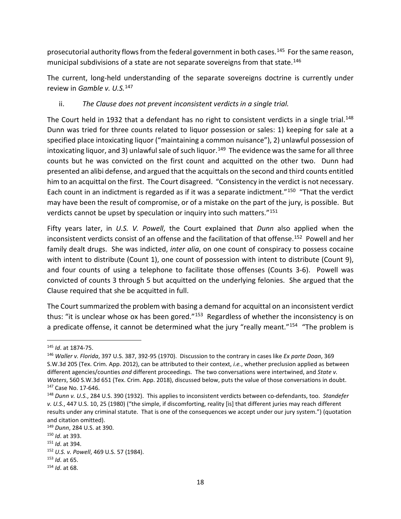prosecutorial authority flows from the federal government in both cases.<sup>[145](#page-17-0)</sup> For the same reason, municipal subdivisions of a state are not separate sovereigns from that state.<sup>[146](#page-17-1)</sup>

The current, long-held understanding of the separate sovereigns doctrine is currently under review in *Gamble v. U.S.*[147](#page-17-2)

#### ii. *The Clause does not prevent inconsistent verdicts in a single trial.*

The Court held in 1932 that a defendant has no right to consistent verdicts in a single trial.<sup>[148](#page-17-3)</sup> Dunn was tried for three counts related to liquor possession or sales: 1) keeping for sale at a specified place intoxicating liquor ("maintaining a common nuisance"), 2) unlawful possession of intoxicating liquor, and 3) unlawful sale of such liquor.<sup>149</sup> The evidence was the same for all three counts but he was convicted on the first count and acquitted on the other two. Dunn had presented an alibi defense, and argued that the acquittals on the second and third counts entitled him to an acquittal on the first. The Court disagreed. "Consistency in the verdict is not necessary. Each count in an indictment is regarded as if it was a separate indictment."<sup>[150](#page-17-5)</sup> "That the verdict may have been the result of compromise, or of a mistake on the part of the jury, is possible. But verdicts cannot be upset by speculation or inquiry into such matters."[151](#page-17-6)

Fifty years later, in *U.S. V. Powell*, the Court explained that *Dunn* also applied when the inconsistent verdicts consist of an offense and the facilitation of that offense.<sup>152</sup> Powell and her family dealt drugs. She was indicted, *inter alia*, on one count of conspiracy to possess cocaine with intent to distribute (Count 1), one count of possession with intent to distribute (Count 9), and four counts of using a telephone to facilitate those offenses (Counts 3-6). Powell was convicted of counts 3 through 5 but acquitted on the underlying felonies. She argued that the Clause required that she be acquitted in full.

The Court summarized the problem with basing a demand for acquittal on an inconsistent verdict thus: "it is unclear whose ox has been gored."<sup>[153](#page-17-8)</sup> Regardless of whether the inconsistency is on a predicate offense, it cannot be determined what the jury "really meant."<sup>154</sup> "The problem is

<span id="page-17-0"></span> <sup>145</sup> *Id*. at 1874-75.

<span id="page-17-1"></span><sup>146</sup> *Waller v. Florida*, 397 U.S. 387, 392-95 (1970). Discussion to the contrary in cases like *Ex parte Doan*, 369 S.W.3d 205 (Tex. Crim. App. 2012), can be attributed to their context, *i.e.*, whether preclusion applied as between different agencies/counties *and* different proceedings. The two conversations were intertwined, and *State v. Waters*, 560 S.W.3d 651 (Tex. Crim. App. 2018), discussed below, puts the value of those conversations in doubt. <sup>147</sup> Case No. 17-646.

<span id="page-17-3"></span><span id="page-17-2"></span><sup>148</sup> *Dunn v. U.S.*, 284 U.S. 390 (1932). This applies to inconsistent verdicts between co-defendants, too. *Standefer v. U.S.*, 447 U.S. 10, 25 (1980) ("the simple, if discomforting, reality [is] that different juries may reach different results under any criminal statute. That is one of the consequences we accept under our jury system.") (quotation and citation omitted).

<span id="page-17-4"></span><sup>149</sup> *Dunn*, 284 U.S. at 390.

<span id="page-17-5"></span><sup>150</sup> *Id*. at 393.

<span id="page-17-6"></span><sup>151</sup> *Id*. at 394.

<span id="page-17-7"></span><sup>152</sup> *U.S. v. Powell*, 469 U.S. 57 (1984).

<span id="page-17-8"></span><sup>153</sup> *Id*. at 65.

<span id="page-17-9"></span><sup>154</sup> *Id*. at 68.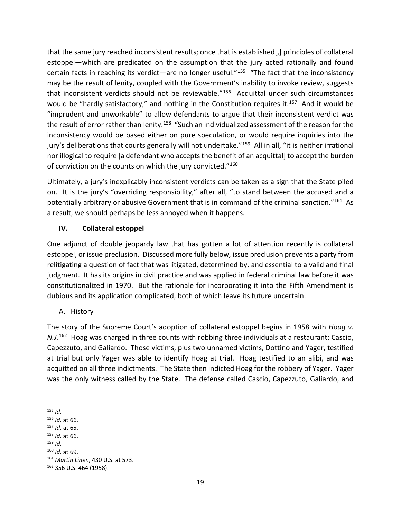that the same jury reached inconsistent results; once that is established[,] principles of collateral estoppel—which are predicated on the assumption that the jury acted rationally and found certain facts in reaching its verdict—are no longer useful."[155](#page-18-0) "The fact that the inconsistency may be the result of lenity, coupled with the Government's inability to invoke review, suggests that inconsistent verdicts should not be reviewable."[156](#page-18-1) Acquittal under such circumstances would be "hardly satisfactory," and nothing in the Constitution requires it.<sup>157</sup> And it would be "imprudent and unworkable" to allow defendants to argue that their inconsistent verdict was the result of error rather than lenity.<sup>158</sup> "Such an individualized assessment of the reason for the inconsistency would be based either on pure speculation, or would require inquiries into the jury's deliberations that courts generally will not undertake."<sup>[159](#page-18-4)</sup> All in all, "it is neither irrational nor illogical to require [a defendant who accepts the benefit of an acquittal] to accept the burden of conviction on the counts on which the jury convicted."<sup>[160](#page-18-5)</sup>

Ultimately, a jury's inexplicably inconsistent verdicts can be taken as a sign that the State piled on. It is the jury's "overriding responsibility," after all, "to stand between the accused and a potentially arbitrary or abusive Government that is in command of the criminal sanction."[161](#page-18-6) As a result, we should perhaps be less annoyed when it happens.

# **IV. Collateral estoppel**

One adjunct of double jeopardy law that has gotten a lot of attention recently is collateral estoppel, or issue preclusion. Discussed more fully below, issue preclusion prevents a party from relitigating a question of fact that was litigated, determined by, and essential to a valid and final judgment. It has its origins in civil practice and was applied in federal criminal law before it was constitutionalized in 1970. But the rationale for incorporating it into the Fifth Amendment is dubious and its application complicated, both of which leave its future uncertain.

# A. History

The story of the Supreme Court's adoption of collateral estoppel begins in 1958 with *Hoag v. N.J.*<sup>[162](#page-18-7)</sup> Hoag was charged in three counts with robbing three individuals at a restaurant: Cascio, Capezzuto, and Galiardo. Those victims, plus two unnamed victims, Dottino and Yager, testified at trial but only Yager was able to identify Hoag at trial. Hoag testified to an alibi, and was acquitted on all three indictments. The State then indicted Hoag for the robbery of Yager. Yager was the only witness called by the State. The defense called Cascio, Capezzuto, Galiardo, and

- <sup>158</sup> *Id*. at 66.
- <span id="page-18-4"></span><span id="page-18-3"></span><sup>159</sup> *Id*.

<span id="page-18-0"></span> <sup>155</sup> *Id*.

<span id="page-18-1"></span><sup>156</sup> *Id*. at 66.

<span id="page-18-2"></span><sup>157</sup> *Id*. at 65.

<span id="page-18-5"></span><sup>160</sup> *Id*. at 69.

<span id="page-18-7"></span><span id="page-18-6"></span><sup>&</sup>lt;sup>161</sup> *Martin Linen*, 430 U.S. at 573.<br><sup>162</sup> 356 U.S. 464 (1958).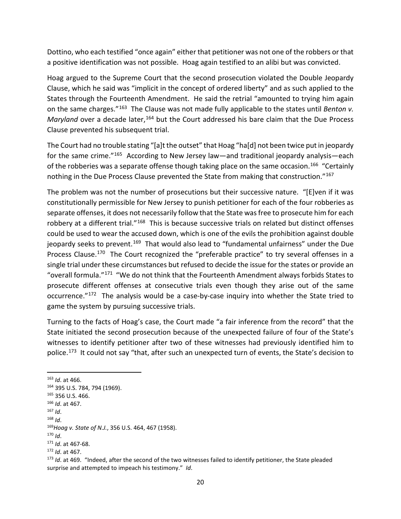Dottino, who each testified "once again" either that petitioner was not one of the robbers or that a positive identification was not possible. Hoag again testified to an alibi but was convicted.

Hoag argued to the Supreme Court that the second prosecution violated the Double Jeopardy Clause, which he said was "implicit in the concept of ordered liberty" and as such applied to the States through the Fourteenth Amendment. He said the retrial "amounted to trying him again on the same charges."[163](#page-19-0) The Clause was not made fully applicable to the states until *Benton v.*  Maryland over a decade later,<sup>[164](#page-19-1)</sup> but the Court addressed his bare claim that the Due Process Clause prevented his subsequent trial.

The Court had no trouble stating "[a]t the outset" that Hoag "ha[d] not been twice put in jeopardy for the same crime.["165](#page-19-2) According to New Jersey law—and traditional jeopardy analysis—each of the robberies was a separate offense though taking place on the same occasion.<sup>[166](#page-19-3)</sup> "Certainly nothing in the Due Process Clause prevented the State from making that construction."<sup>[167](#page-19-4)</sup>

The problem was not the number of prosecutions but their successive nature. "[E]ven if it was constitutionally permissible for New Jersey to punish petitioner for each of the four robberies as separate offenses, it does not necessarily follow that the State was free to prosecute him for each robbery at a different trial."<sup>[168](#page-19-5)</sup> This is because successive trials on related but distinct offenses could be used to wear the accused down, which is one of the evils the prohibition against double jeopardy seeks to prevent.<sup>[169](#page-19-6)</sup> That would also lead to "fundamental unfairness" under the Due Process Clause.<sup>170</sup> The Court recognized the "preferable practice" to try several offenses in a single trial under these circumstances but refused to decide the issue for the states or provide an "overall formula."<sup>[171](#page-19-8)</sup> "We do not think that the Fourteenth Amendment always forbids States to prosecute different offenses at consecutive trials even though they arise out of the same occurrence."[172](#page-19-9) The analysis would be a case-by-case inquiry into whether the State tried to game the system by pursuing successive trials.

Turning to the facts of Hoag's case, the Court made "a fair inference from the record" that the State initiated the second prosecution because of the unexpected failure of four of the State's witnesses to identify petitioner after two of these witnesses had previously identified him to police.<sup>[173](#page-19-10)</sup> It could not say "that, after such an unexpected turn of events, the State's decision to

<span id="page-19-0"></span>163 *Id*. at 466.

<span id="page-19-1"></span><sup>164</sup> 395 U.S. 784, 794 (1969).

<span id="page-19-3"></span><span id="page-19-2"></span><sup>165</sup> 356 U.S. 466. 166 *Id*. at 467. 167 *Id*.

<span id="page-19-6"></span><span id="page-19-5"></span><span id="page-19-4"></span><sup>168</sup> *Id*. 169*Hoag v. State of N.J.*, 356 U.S. 464, 467 (1958). 170 *Id*.

<span id="page-19-7"></span>

<span id="page-19-10"></span>

<span id="page-19-9"></span><span id="page-19-8"></span><sup>&</sup>lt;sup>171</sup> *Id*. at 467-68.<br><sup>172</sup> *Id*. at 467.<br><sup>173</sup> *Id*. at 469. "Indeed, after the second of the two witnesses failed to identify petitioner, the State pleaded surprise and attempted to impeach his testimony." *Id*.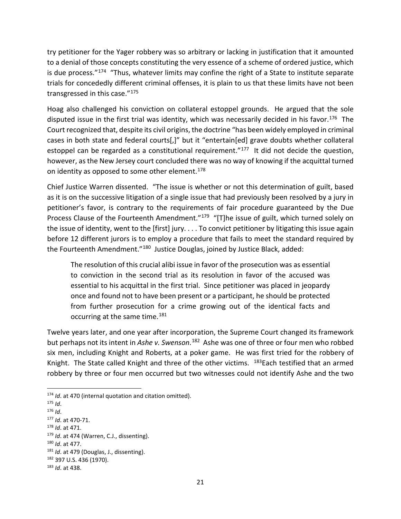try petitioner for the Yager robbery was so arbitrary or lacking in justification that it amounted to a denial of those concepts constituting the very essence of a scheme of ordered justice, which is due process."[174](#page-20-0) "Thus, whatever limits may confine the right of a State to institute separate trials for concededly different criminal offenses, it is plain to us that these limits have not been transgressed in this case."<sup>[175](#page-20-1)</sup>

Hoag also challenged his conviction on collateral estoppel grounds. He argued that the sole disputed issue in the first trial was identity, which was necessarily decided in his favor.<sup>[176](#page-20-2)</sup> The Court recognized that, despite its civil origins, the doctrine "has been widely employed in criminal cases in both state and federal courts[,]" but it "entertain[ed] grave doubts whether collateral estoppel can be regarded as a constitutional requirement."<sup>[177](#page-20-3)</sup> It did not decide the question, however, as the New Jersey court concluded there was no way of knowing if the acquittal turned on identity as opposed to some other element. $178$ 

Chief Justice Warren dissented. "The issue is whether or not this determination of guilt, based as it is on the successive litigation of a single issue that had previously been resolved by a jury in petitioner's favor, is contrary to the requirements of fair procedure guaranteed by the Due Process Clause of the Fourteenth Amendment."<sup>179</sup> "[T]he issue of guilt, which turned solely on the issue of identity, went to the [first] jury. . . . To convict petitioner by litigating this issue again before 12 different jurors is to employ a procedure that fails to meet the standard required by the Fourteenth Amendment."<sup>[180](#page-20-6)</sup> Justice Douglas, joined by Justice Black, added:

The resolution of this crucial alibi issue in favor of the prosecution was as essential to conviction in the second trial as its resolution in favor of the accused was essential to his acquittal in the first trial. Since petitioner was placed in jeopardy once and found not to have been present or a participant, he should be protected from further prosecution for a crime growing out of the identical facts and occurring at the same time.<sup>[181](#page-20-7)</sup>

Twelve years later, and one year after incorporation, the Supreme Court changed its framework but perhaps not its intent in *Ashe v. Swenson*. [182](#page-20-8) Ashe was one of three or four men who robbed six men, including Knight and Roberts, at a poker game. He was first tried for the robbery of Knight. The State called Knight and three of the other victims.  $183$  Each testified that an armed robbery by three or four men occurred but two witnesses could not identify Ashe and the two

<span id="page-20-1"></span><span id="page-20-0"></span><sup>&</sup>lt;sup>174</sup> *Id*. at 470 (internal quotation and citation omitted).<br><sup>175</sup> *Id*.<br><sup>176</sup> *Id*.

<span id="page-20-2"></span>

<span id="page-20-4"></span><span id="page-20-3"></span><sup>176</sup> *Id*. 177 *Id*. at 470-71. 178 *Id*. at 471.

<span id="page-20-6"></span><span id="page-20-5"></span><sup>&</sup>lt;sup>179</sup> *Id.* at 474 (Warren, C.J., dissenting).<br><sup>180</sup> *Id.* at 477.<br><sup>181</sup> *Id.* at 479 (Douglas, J., dissenting).

<span id="page-20-8"></span><span id="page-20-7"></span><sup>182</sup> 397 U.S. 436 (1970).

<span id="page-20-9"></span><sup>183</sup> *Id*. at 438.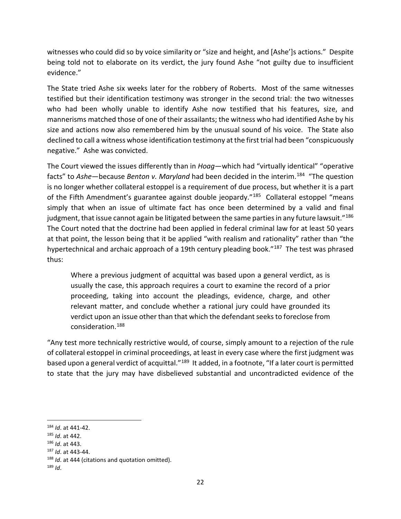witnesses who could did so by voice similarity or "size and height, and [Ashe']s actions." Despite being told not to elaborate on its verdict, the jury found Ashe "not guilty due to insufficient evidence."

The State tried Ashe six weeks later for the robbery of Roberts. Most of the same witnesses testified but their identification testimony was stronger in the second trial: the two witnesses who had been wholly unable to identify Ashe now testified that his features, size, and mannerisms matched those of one of their assailants; the witness who had identified Ashe by his size and actions now also remembered him by the unusual sound of his voice. The State also declined to call a witness whose identification testimony at the first trial had been "conspicuously negative." Ashe was convicted.

The Court viewed the issues differently than in *Hoag*—which had "virtually identical" "operative facts" to *Ashe*—because *Benton v. Maryland* had been decided in the interim.[184](#page-21-0) "The question is no longer whether collateral estoppel is a requirement of due process, but whether it is a part of the Fifth Amendment's guarantee against double jeopardy."<sup>185</sup> Collateral estoppel "means simply that when an issue of ultimate fact has once been determined by a valid and final judgment, that issue cannot again be litigated between the same parties in any future lawsuit."<sup>[186](#page-21-2)</sup> The Court noted that the doctrine had been applied in federal criminal law for at least 50 years at that point, the lesson being that it be applied "with realism and rationality" rather than "the hypertechnical and archaic approach of a 19th century pleading book."<sup>187</sup> The test was phrased thus:

Where a previous judgment of acquittal was based upon a general verdict, as is usually the case, this approach requires a court to examine the record of a prior proceeding, taking into account the pleadings, evidence, charge, and other relevant matter, and conclude whether a rational jury could have grounded its verdict upon an issue other than that which the defendant seeks to foreclose from consideration.[188](#page-21-4) 

"Any test more technically restrictive would, of course, simply amount to a rejection of the rule of collateral estoppel in criminal proceedings, at least in every case where the first judgment was based upon a general verdict of acquittal."<sup>[189](#page-21-5)</sup> It added, in a footnote, "If a later court is permitted to state that the jury may have disbelieved substantial and uncontradicted evidence of the

<span id="page-21-1"></span>

<span id="page-21-2"></span>

<span id="page-21-3"></span>

<span id="page-21-0"></span><sup>&</sup>lt;sup>184</sup> *Id*. at 441-42.<br><sup>185</sup> *Id*. at 442.<br><sup>186</sup> *Id*. at 443.<br><sup>187</sup> *Id*. at 443-44. (citations and quotation omitted).

<span id="page-21-5"></span><span id="page-21-4"></span><sup>189</sup> *Id*.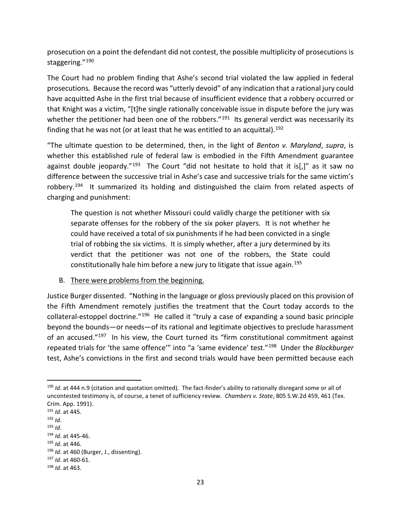prosecution on a point the defendant did not contest, the possible multiplicity of prosecutions is staggering."[190](#page-22-0)

The Court had no problem finding that Ashe's second trial violated the law applied in federal prosecutions. Because the record was "utterly devoid" of any indication that a rational jury could have acquitted Ashe in the first trial because of insufficient evidence that a robbery occurred or that Knight was a victim, "[t]he single rationally conceivable issue in dispute before the jury was whether the petitioner had been one of the robbers." $191$  Its general verdict was necessarily its finding that he was not (or at least that he was entitled to an acquittal).<sup>192</sup>

"The ultimate question to be determined, then, in the light of *Benton v. Maryland*, *supra*, is whether this established rule of federal law is embodied in the Fifth Amendment guarantee against double jeopardy."<sup>193</sup> The Court "did not hesitate to hold that it is[,]" as it saw no difference between the successive trial in Ashe's case and successive trials for the same victim's robbery.<sup>[194](#page-22-4)</sup> It summarized its holding and distinguished the claim from related aspects of charging and punishment:

The question is not whether Missouri could validly charge the petitioner with six separate offenses for the robbery of the six poker players. It is not whether he could have received a total of six punishments if he had been convicted in a single trial of robbing the six victims. It is simply whether, after a jury determined by its verdict that the petitioner was not one of the robbers, the State could constitutionally hale him before a new jury to litigate that issue again.<sup>[195](#page-22-5)</sup>

#### B. There were problems from the beginning.

Justice Burger dissented. "Nothing in the language or gloss previously placed on this provision of the Fifth Amendment remotely justifies the treatment that the Court today accords to the collateral-estoppel doctrine."[196](#page-22-6) He called it "truly a case of expanding a sound basic principle beyond the bounds—or needs—of its rational and legitimate objectives to preclude harassment of an accused."<sup>[197](#page-22-7)</sup> In his view, the Court turned its "firm constitutional commitment against repeated trials for 'the same offence'" into "a 'same evidence' test."[198](#page-22-8) Under the *Blockburger* test, Ashe's convictions in the first and second trials would have been permitted because each

<span id="page-22-0"></span> <sup>190</sup> *Id*. at 444 n.9 (citation and quotation omitted). The fact-finder's ability to rationally disregard some or all of uncontested testimony is, of course, a tenet of sufficiency review. *Chambers v. State*, 805 S.W.2d 459, 461 (Tex. Crim. App. 1991).

<span id="page-22-1"></span><sup>191</sup> *Id*. at 445. 192 *Id*.

<span id="page-22-2"></span>

<span id="page-22-4"></span><span id="page-22-3"></span><sup>193</sup> *Id*. 194 *Id*. at 445-46. 195 *Id*. at 446.

<span id="page-22-7"></span><span id="page-22-6"></span><span id="page-22-5"></span><sup>196</sup> *Id*. at 460 (Burger, J., dissenting). 197 *Id*. at 460-61. 198 *Id*. at 463.

<span id="page-22-8"></span>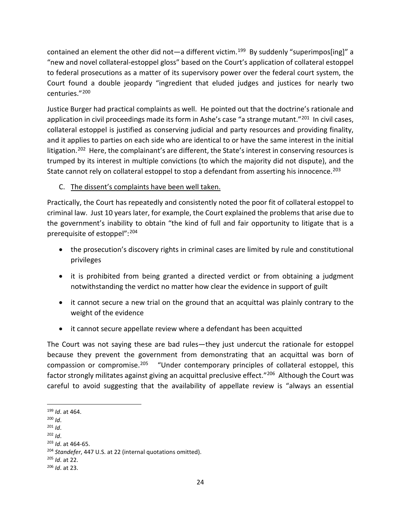contained an element the other did not—a different victim.<sup>[199](#page-23-0)</sup> By suddenly "superimpos[ing]" a "new and novel collateral-estoppel gloss" based on the Court's application of collateral estoppel to federal prosecutions as a matter of its supervisory power over the federal court system, the Court found a double jeopardy "ingredient that eluded judges and justices for nearly two centuries."[200](#page-23-1)

Justice Burger had practical complaints as well. He pointed out that the doctrine's rationale and application in civil proceedings made its form in Ashe's case "a strange mutant."<sup>201</sup> In civil cases, collateral estoppel is justified as conserving judicial and party resources and providing finality, and it applies to parties on each side who are identical to or have the same interest in the initial litigation.<sup>202</sup> Here, the complainant's are different, the State's interest in conserving resources is trumped by its interest in multiple convictions (to which the majority did not dispute), and the State cannot rely on collateral estoppel to stop a defendant from asserting his innocence.<sup>203</sup>

#### C. The dissent's complaints have been well taken.

Practically, the Court has repeatedly and consistently noted the poor fit of collateral estoppel to criminal law. Just 10 years later, for example, the Court explained the problems that arise due to the government's inability to obtain "the kind of full and fair opportunity to litigate that is a prerequisite of estoppel":[204](#page-23-5)

- the prosecution's discovery rights in criminal cases are limited by rule and constitutional privileges
- it is prohibited from being granted a directed verdict or from obtaining a judgment notwithstanding the verdict no matter how clear the evidence in support of guilt
- it cannot secure a new trial on the ground that an acquittal was plainly contrary to the weight of the evidence
- it cannot secure appellate review where a defendant has been acquitted

The Court was not saying these are bad rules—they just undercut the rationale for estoppel because they prevent the government from demonstrating that an acquittal was born of compassion or compromise.<sup>[205](#page-23-6)</sup> "Under contemporary principles of collateral estoppel, this factor strongly militates against giving an acquittal preclusive effect."<sup>[206](#page-23-7)</sup> Although the Court was careful to avoid suggesting that the availability of appellate review is "always an essential

- 
- 

<span id="page-23-6"></span>

<span id="page-23-1"></span><span id="page-23-0"></span><sup>199</sup> *Id*. at 464. 200 *Id*.

<span id="page-23-3"></span><span id="page-23-2"></span><sup>201</sup> *Id*. 202 *Id*. 203 *Id*. at 464-65.

<span id="page-23-5"></span><span id="page-23-4"></span><sup>204</sup> *Standefer*, 447 U.S. at 22 (internal quotations omitted). 205 *Id*. at 22.

<span id="page-23-7"></span><sup>206</sup> *Id*. at 23.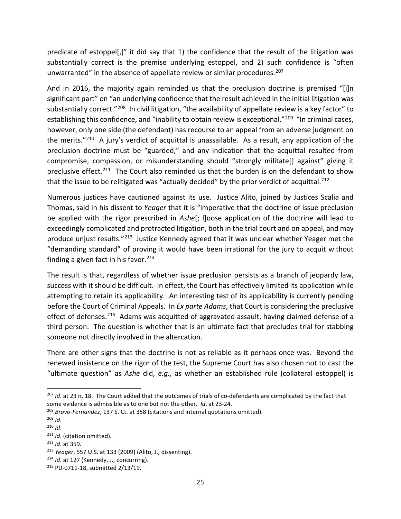predicate of estoppel[,]" it did say that 1) the confidence that the result of the litigation was substantially correct is the premise underlying estoppel, and 2) such confidence is "often unwarranted" in the absence of appellate review or similar procedures.<sup>[207](#page-24-0)</sup>

And in 2016, the majority again reminded us that the preclusion doctrine is premised "[i]n significant part" on "an underlying confidence that the result achieved in the initial litigation was substantially correct."<sup>208</sup> In civil litigation, "the availability of appellate review is a key factor" to establishing this confidence, and "inability to obtain review is exceptional."<sup>209</sup> "In criminal cases, however, only one side (the defendant) has recourse to an appeal from an adverse judgment on the merits."[210](#page-24-3) A jury's verdict of acquittal is unassailable. As a result, any application of the preclusion doctrine must be "guarded," and any indication that the acquittal resulted from compromise, compassion, or misunderstanding should "strongly militate[] against" giving it preclusive effect.<sup>[211](#page-24-4)</sup> The Court also reminded us that the burden is on the defendant to show that the issue to be relitigated was "actually decided" by the prior verdict of acquittal.<sup>[212](#page-24-5)</sup>

Numerous justices have cautioned against its use. Justice Alito, joined by Justices Scalia and Thomas, said in his dissent to *Yeager* that it is "imperative that the doctrine of issue preclusion be applied with the rigor prescribed in *Ashe*[; l]oose application of the doctrine will lead to exceedingly complicated and protracted litigation, both in the trial court and on appeal, and may produce unjust results."[213](#page-24-6) Justice Kennedy agreed that it was unclear whether Yeager met the "demanding standard" of proving it would have been irrational for the jury to acquit without finding a given fact in his favor. $214$ 

The result is that, regardless of whether issue preclusion persists as a branch of jeopardy law, success with it should be difficult. In effect, the Court has effectively limited its application while attempting to retain its applicability. An interesting test of its applicability is currently pending before the Court of Criminal Appeals. In *Ex parte Adams*, that Court is considering the preclusive effect of defenses.<sup>[215](#page-24-8)</sup> Adams was acquitted of aggravated assault, having claimed defense of a third person. The question is whether that is an ultimate fact that precludes trial for stabbing someone not directly involved in the altercation.

There are other signs that the doctrine is not as reliable as it perhaps once was. Beyond the renewed insistence on the rigor of the test, the Supreme Court has also chosen not to cast the "ultimate question" as *Ashe* did, *e.g.*, as whether an established rule (collateral estoppel) is

<span id="page-24-7"></span><sup>214</sup> *Id*. at 127 (Kennedy, J., concurring).

<span id="page-24-0"></span> <sup>207</sup> *Id*. at 23 n. 18. The Court added that the outcomes of trials of co-defendants are complicated by the fact that some evidence is admissible as to one but not the other. *Id*. at 23-24.

<span id="page-24-2"></span><span id="page-24-1"></span><sup>208</sup> *Bravo-Fernandez*, 137 S. Ct. at 358 (citations and internal quotations omitted). 209 *Id*. 210 *Id*.

<span id="page-24-3"></span>

<span id="page-24-5"></span><span id="page-24-4"></span><sup>211</sup> *Id*. (citation omitted). 212 *Id*. at 359.

<span id="page-24-6"></span><sup>213</sup> *Yeager*, 557 U.S. at 133 (2009) (Alito, J., dissenting).

<span id="page-24-8"></span><sup>215</sup> PD-0711-18, submitted 2/13/19.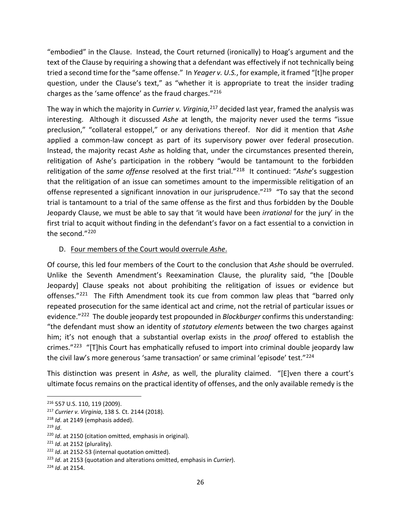"embodied" in the Clause. Instead, the Court returned (ironically) to Hoag's argument and the text of the Clause by requiring a showing that a defendant was effectively if not technically being tried a second time for the "same offense." In *Yeager v. U.S.*, for example, it framed "[t]he proper question, under the Clause's text," as "whether it is appropriate to treat the insider trading charges as the 'same offence' as the fraud charges."<sup>[216](#page-25-0)</sup>

The way in which the majority in *Currier v. Virginia*, [217](#page-25-1) decided last year, framed the analysis was interesting. Although it discussed *Ashe* at length, the majority never used the terms "issue preclusion," "collateral estoppel," or any derivations thereof. Nor did it mention that *Ashe* applied a common-law concept as part of its supervisory power over federal prosecution. Instead, the majority recast *Ashe* as holding that, under the circumstances presented therein, relitigation of Ashe's participation in the robbery "would be tantamount to the forbidden relitigation of the *same offense* resolved at the first trial."[218](#page-25-2) It continued: "*Ashe*'s suggestion that the relitigation of an issue can sometimes amount to the impermissible relitigation of an offense represented a significant innovation in our jurisprudence."<sup>219</sup> "To say that the second trial is tantamount to a trial of the same offense as the first and thus forbidden by the Double Jeopardy Clause, we must be able to say that 'it would have been *irrational* for the jury' in the first trial to acquit without finding in the defendant's favor on a fact essential to a conviction in the second."[220](#page-25-4)

#### D. Four members of the Court would overrule *Ashe*.

Of course, this led four members of the Court to the conclusion that *Ashe* should be overruled. Unlike the Seventh Amendment's Reexamination Clause, the plurality said, "the [Double Jeopardy] Clause speaks not about prohibiting the relitigation of issues or evidence but offenses."<sup>[221](#page-25-5)</sup> The Fifth Amendment took its cue from common law pleas that "barred only repeated prosecution for the same identical act and crime, not the retrial of particular issues or evidence."[222](#page-25-6) The double jeopardy test propounded in *Blockburger* confirms this understanding: "the defendant must show an identity of *statutory elements* between the two charges against him; it's not enough that a substantial overlap exists in the *proof* offered to establish the crimes."<sup>[223](#page-25-7)</sup> "[T]his Court has emphatically refused to import into criminal double jeopardy law the civil law's more generous 'same transaction' or same criminal 'episode' test."<sup>224</sup>

This distinction was present in *Ashe*, as well, the plurality claimed. "[E]ven there a court's ultimate focus remains on the practical identity of offenses, and the only available remedy is the

<span id="page-25-0"></span> <sup>216</sup> 557 U.S. 110, 119 (2009).

<span id="page-25-1"></span><sup>217</sup> *Currier v. Virginia*, 138 S. Ct. 2144 (2018).

<span id="page-25-2"></span><sup>218</sup> *Id*. at 2149 (emphasis added).

<span id="page-25-3"></span> $219$  *Id.* 

<span id="page-25-4"></span><sup>220</sup> *Id*. at 2150 (citation omitted, emphasis in original).

<span id="page-25-5"></span><sup>221</sup> *Id*. at 2152 (plurality).

<span id="page-25-6"></span><sup>&</sup>lt;sup>222</sup> *Id.* at 2152-53 (internal quotation omitted).

<span id="page-25-7"></span><sup>223</sup> *Id*. at 2153 (quotation and alterations omitted, emphasis in *Currier*).

<span id="page-25-8"></span><sup>224</sup> *Id*. at 2154.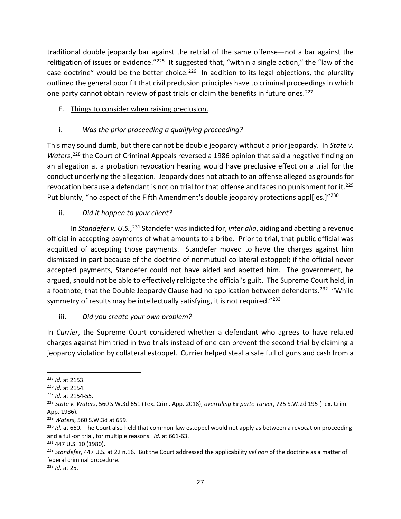traditional double jeopardy bar against the retrial of the same offense—not a bar against the relitigation of issues or evidence."<sup>225</sup> It suggested that, "within a single action," the "law of the case doctrine" would be the better choice.<sup>226</sup> In addition to its legal objections, the plurality outlined the general poor fit that civil preclusion principles have to criminal proceedings in which one party cannot obtain review of past trials or claim the benefits in future ones.<sup>[227](#page-26-2)</sup>

#### E. Things to consider when raising preclusion.

# i. *Was the prior proceeding a qualifying proceeding?*

This may sound dumb, but there cannot be double jeopardy without a prior jeopardy. In *State v.*  Waters,<sup>[228](#page-26-3)</sup> the Court of Criminal Appeals reversed a 1986 opinion that said a negative finding on an allegation at a probation revocation hearing would have preclusive effect on a trial for the conduct underlying the allegation. Jeopardy does not attach to an offense alleged as grounds for revocation because a defendant is not on trial for that offense and faces no punishment for it.<sup>[229](#page-26-4)</sup> Put bluntly, "no aspect of the Fifth Amendment's double jeopardy protections appl[ies.]"<sup>[230](#page-26-5)</sup>

# ii. *Did it happen to your client?*

In Standefer v. U.S.,<sup>[231](#page-26-6)</sup> Standefer was indicted for, *inter alia*, aiding and abetting a revenue official in accepting payments of what amounts to a bribe. Prior to trial, that public official was acquitted of accepting those payments. Standefer moved to have the charges against him dismissed in part because of the doctrine of nonmutual collateral estoppel; if the official never accepted payments, Standefer could not have aided and abetted him. The government, he argued, should not be able to effectively relitigate the official's guilt. The Supreme Court held, in a footnote, that the Double Jeopardy Clause had no application between defendants.<sup>[232](#page-26-7)</sup> "While symmetry of results may be intellectually satisfying, it is not required."<sup>233</sup>

#### iii. *Did you create your own problem?*

In *Currier*, the Supreme Court considered whether a defendant who agrees to have related charges against him tried in two trials instead of one can prevent the second trial by claiming a jeopardy violation by collateral estoppel. Currier helped steal a safe full of guns and cash from a

<span id="page-26-8"></span><sup>233</sup> *Id*. at 25.

<span id="page-26-0"></span> <sup>225</sup> *Id*. at 2153.

<span id="page-26-1"></span><sup>226</sup> *Id*. at 2154.

<span id="page-26-2"></span><sup>227</sup> *Id*. at 2154-55.

<span id="page-26-3"></span><sup>228</sup> *State v. Waters*, 560 S.W.3d 651 (Tex. Crim. App. 2018), *overruling Ex parte Tarver*, 725 S.W.2d 195 (Tex. Crim. App. 1986).

<span id="page-26-4"></span><sup>229</sup> *Waters*, 560 S.W.3d at 659.

<span id="page-26-5"></span><sup>&</sup>lt;sup>230</sup> *Id*. at 660. The Court also held that common-law estoppel would not apply as between a revocation proceeding and a full-on trial, for multiple reasons. *Id*. at 661-63.

<span id="page-26-6"></span><sup>231 447</sup> U.S. 10 (1980).

<span id="page-26-7"></span><sup>232</sup> *Standefer*, 447 U.S. at 22 n.16. But the Court addressed the applicability *vel non* of the doctrine as a matter of federal criminal procedure.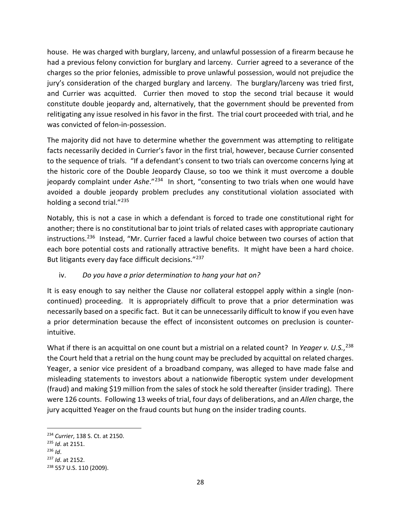house. He was charged with burglary, larceny, and unlawful possession of a firearm because he had a previous felony conviction for burglary and larceny. Currier agreed to a severance of the charges so the prior felonies, admissible to prove unlawful possession, would not prejudice the jury's consideration of the charged burglary and larceny. The burglary/larceny was tried first, and Currier was acquitted. Currier then moved to stop the second trial because it would constitute double jeopardy and, alternatively, that the government should be prevented from relitigating any issue resolved in his favor in the first. The trial court proceeded with trial, and he was convicted of felon-in-possession.

The majority did not have to determine whether the government was attempting to relitigate facts necessarily decided in Currier's favor in the first trial, however, because Currier consented to the sequence of trials. "If a defendant's consent to two trials can overcome concerns lying at the historic core of the Double Jeopardy Clause, so too we think it must overcome a double jeopardy complaint under *Ashe*."[234](#page-27-0) In short, "consenting to two trials when one would have avoided a double jeopardy problem precludes any constitutional violation associated with holding a second trial."<sup>[235](#page-27-1)</sup>

Notably, this is not a case in which a defendant is forced to trade one constitutional right for another; there is no constitutional bar to joint trials of related cases with appropriate cautionary instructions.[236](#page-27-2) Instead, "Mr. Currier faced a lawful choice between two courses of action that each bore potential costs and rationally attractive benefits. It might have been a hard choice. But litigants every day face difficult decisions.["237](#page-27-3)

# iv. *Do you have a prior determination to hang your hat on?*

It is easy enough to say neither the Clause nor collateral estoppel apply within a single (noncontinued) proceeding. It is appropriately difficult to prove that a prior determination was necessarily based on a specific fact. But it can be unnecessarily difficult to know if you even have a prior determination because the effect of inconsistent outcomes on preclusion is counterintuitive.

What if there is an acquittal on one count but a mistrial on a related count? In *Yeager v. U.S.*, [238](#page-27-4) the Court held that a retrial on the hung count may be precluded by acquittal on related charges. Yeager, a senior vice president of a broadband company, was alleged to have made false and misleading statements to investors about a nationwide fiberoptic system under development (fraud) and making \$19 million from the sales of stock he sold thereafter (insider trading). There were 126 counts. Following 13 weeks of trial, four days of deliberations, and an *Allen* charge, the jury acquitted Yeager on the fraud counts but hung on the insider trading counts.

<span id="page-27-0"></span> <sup>234</sup> *Currier*, 138 S. Ct. at 2150.

<span id="page-27-1"></span><sup>235</sup> *Id*. at 2151.

<span id="page-27-2"></span><sup>236</sup> *Id*.

<span id="page-27-3"></span><sup>237</sup> *Id*. at 2152.

<span id="page-27-4"></span><sup>238</sup> 557 U.S. 110 (2009).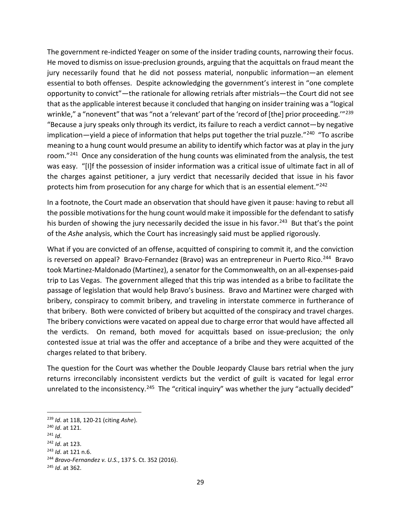The government re-indicted Yeager on some of the insider trading counts, narrowing their focus. He moved to dismiss on issue-preclusion grounds, arguing that the acquittals on fraud meant the jury necessarily found that he did not possess material, nonpublic information—an element essential to both offenses. Despite acknowledging the government's interest in "one complete opportunity to convict"—the rationale for allowing retrials after mistrials—the Court did not see that as the applicable interest because it concluded that hanging on insider training was a "logical wrinkle," a "nonevent" that was "not a 'relevant' part of the 'record of [the] prior proceeding."<sup>[239](#page-28-0)</sup> "Because a jury speaks only through its verdict, its failure to reach a verdict cannot—by negative implication—yield a piece of information that helps put together the trial puzzle."<sup>240</sup> "To ascribe meaning to a hung count would presume an ability to identify which factor was at play in the jury room."<sup>[241](#page-28-2)</sup> Once any consideration of the hung counts was eliminated from the analysis, the test was easy. "[I]f the possession of insider information was a critical issue of ultimate fact in all of the charges against petitioner, a jury verdict that necessarily decided that issue in his favor protects him from prosecution for any charge for which that is an essential element."<sup>[242](#page-28-3)</sup>

In a footnote, the Court made an observation that should have given it pause: having to rebut all the possible motivations for the hung count would make it impossible for the defendant to satisfy his burden of showing the jury necessarily decided the issue in his favor.<sup>243</sup> But that's the point of the *Ashe* analysis, which the Court has increasingly said must be applied rigorously.

What if you are convicted of an offense, acquitted of conspiring to commit it, and the conviction is reversed on appeal? Bravo-Fernandez (Bravo) was an entrepreneur in Puerto Rico.<sup>244</sup> Bravo took Martinez-Maldonado (Martinez), a senator for the Commonwealth, on an all-expenses-paid trip to Las Vegas. The government alleged that this trip was intended as a bribe to facilitate the passage of legislation that would help Bravo's business. Bravo and Martinez were charged with bribery, conspiracy to commit bribery, and traveling in interstate commerce in furtherance of that bribery. Both were convicted of bribery but acquitted of the conspiracy and travel charges. The bribery convictions were vacated on appeal due to charge error that would have affected all the verdicts. On remand, both moved for acquittals based on issue-preclusion; the only contested issue at trial was the offer and acceptance of a bribe and they were acquitted of the charges related to that bribery.

The question for the Court was whether the Double Jeopardy Clause bars retrial when the jury returns irreconcilably inconsistent verdicts but the verdict of guilt is vacated for legal error unrelated to the inconsistency.<sup>[245](#page-28-6)</sup> The "critical inquiry" was whether the jury "actually decided"

<span id="page-28-1"></span><span id="page-28-0"></span><sup>239</sup> *Id*. at 118, 120-21 (citing *Ashe*). 240 *Id*. at 121.

<span id="page-28-2"></span> $^{241}$  *Id.* 

<span id="page-28-3"></span><sup>242</sup> *Id*. at 123.

<span id="page-28-5"></span>

<span id="page-28-4"></span><sup>243</sup> *Id*. at 121 n.6. 244 *Bravo-Fernandez v. U.S.*, 137 S. Ct. 352 (2016).

<span id="page-28-6"></span><sup>245</sup> *Id*. at 362.